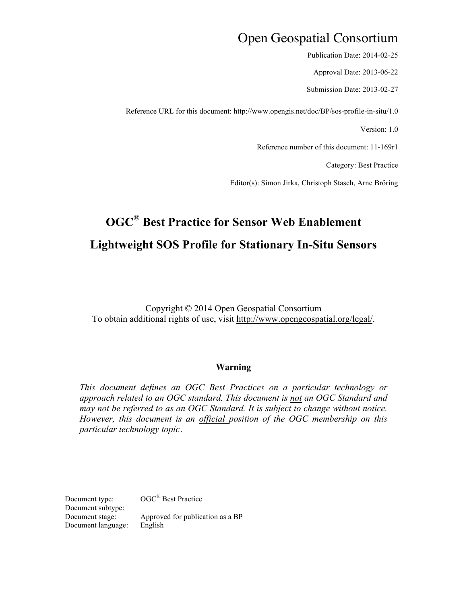# Open Geospatial Consortium

Publication Date: 2014-02-25

Approval Date: 2013-06-22

Submission Date: 2013-02-27

Reference URL for this document: http://www.opengis.net/doc/BP/sos-profile-in-situ/1.0

Version: 1.0

Reference number of this document: 11-169r1

Category: Best Practice

Editor(s): Simon Jirka, Christoph Stasch, Arne Bröring

# **OGC® Best Practice for Sensor Web Enablement Lightweight SOS Profile for Stationary In-Situ Sensors**

Copyright © 2014 Open Geospatial Consortium To obtain additional rights of use, visit http://www.opengeospatial.org/legal/.

### **Warning**

*This document defines an OGC Best Practices on a particular technology or approach related to an OGC standard. This document is not an OGC Standard and may not be referred to as an OGC Standard. It is subject to change without notice. However, this document is an official position of the OGC membership on this particular technology topic*.

Document type:  $OGC^{\circledR}$  Best Practice Document subtype: Document stage: Approved for publication as a BP Document language: English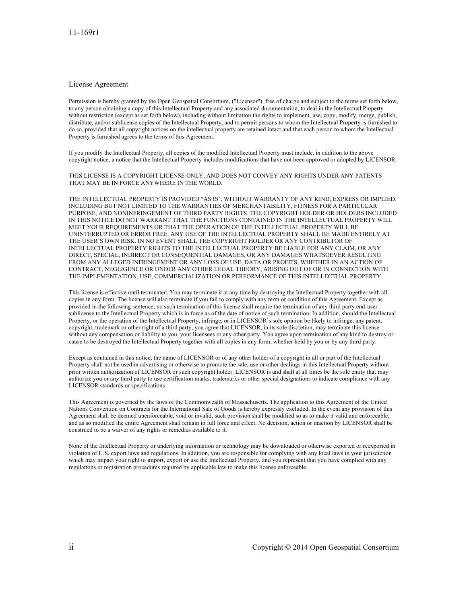#### License Agreement

Permission is hereby granted by the Open Geospatial Consortium, ("Licensor"), free of charge and subject to the terms set forth below, to any person obtaining a copy of this Intellectual Property and any associated documentation, to deal in the Intellectual Property without restriction (except as set forth below), including without limitation the rights to implement, use, copy, modify, merge, publish, distribute, and/or sublicense copies of the Intellectual Property, and to permit persons to whom the Intellectual Property is furnished to do so, provided that all copyright notices on the intellectual property are retained intact and that each person to whom the Intellectual Property is furnished agrees to the terms of this Agreement.

If you modify the Intellectual Property, all copies of the modified Intellectual Property must include, in addition to the above copyright notice, a notice that the Intellectual Property includes modifications that have not been approved or adopted by LICENSOR.

THIS LICENSE IS A COPYRIGHT LICENSE ONLY, AND DOES NOT CONVEY ANY RIGHTS UNDER ANY PATENTS THAT MAY BE IN FORCE ANYWHERE IN THE WORLD.

THE INTELLECTUAL PROPERTY IS PROVIDED "AS IS", WITHOUT WARRANTY OF ANY KIND, EXPRESS OR IMPLIED, INCLUDING BUT NOT LIMITED TO THE WARRANTIES OF MERCHANTABILITY, FITNESS FOR A PARTICULAR PURPOSE, AND NONINFRINGEMENT OF THIRD PARTY RIGHTS. THE COPYRIGHT HOLDER OR HOLDERS INCLUDED IN THIS NOTICE DO NOT WARRANT THAT THE FUNCTIONS CONTAINED IN THE INTELLECTUAL PROPERTY WILL MEET YOUR REQUIREMENTS OR THAT THE OPERATION OF THE INTELLECTUAL PROPERTY WILL BE UNINTERRUPTED OR ERROR FREE. ANY USE OF THE INTELLECTUAL PROPERTY SHALL BE MADE ENTIRELY AT THE USER'S OWN RISK. IN NO EVENT SHALL THE COPYRIGHT HOLDER OR ANY CONTRIBUTOR OF INTELLECTUAL PROPERTY RIGHTS TO THE INTELLECTUAL PROPERTY BE LIABLE FOR ANY CLAIM, OR ANY DIRECT, SPECIAL, INDIRECT OR CONSEQUENTIAL DAMAGES, OR ANY DAMAGES WHATSOEVER RESULTING FROM ANY ALLEGED INFRINGEMENT OR ANY LOSS OF USE, DATA OR PROFITS, WHETHER IN AN ACTION OF CONTRACT, NEGLIGENCE OR UNDER ANY OTHER LEGAL THEORY, ARISING OUT OF OR IN CONNECTION WITH THE IMPLEMENTATION, USE, COMMERCIALIZATION OR PERFORMANCE OF THIS INTELLECTUAL PROPERTY.

This license is effective until terminated. You may terminate it at any time by destroying the Intellectual Property together with all copies in any form. The license will also terminate if you fail to comply with any term or condition of this Agreement. Except as provided in the following sentence, no such termination of this license shall require the termination of any third party end-user sublicense to the Intellectual Property which is in force as of the date of notice of such termination. In addition, should the Intellectual Property, or the operation of the Intellectual Property, infringe, or in LICENSOR's sole opinion be likely to infringe, any patent, copyright, trademark or other right of a third party, you agree that LICENSOR, in its sole discretion, may terminate this license without any compensation or liability to you, your licensees or any other party. You agree upon termination of any kind to destroy or cause to be destroyed the Intellectual Property together with all copies in any form, whether held by you or by any third party.

Except as contained in this notice, the name of LICENSOR or of any other holder of a copyright in all or part of the Intellectual Property shall not be used in advertising or otherwise to promote the sale, use or other dealings in this Intellectual Property without prior written authorization of LICENSOR or such copyright holder. LICENSOR is and shall at all times be the sole entity that may authorize you or any third party to use certification marks, trademarks or other special designations to indicate compliance with any LICENSOR standards or specifications.

This Agreement is governed by the laws of the Commonwealth of Massachusetts. The application to this Agreement of the United Nations Convention on Contracts for the International Sale of Goods is hereby expressly excluded. In the event any provision of this Agreement shall be deemed unenforceable, void or invalid, such provision shall be modified so as to make it valid and enforceable, and as so modified the entire Agreement shall remain in full force and effect. No decision, action or inaction by LICENSOR shall be construed to be a waiver of any rights or remedies available to it.

None of the Intellectual Property or underlying information or technology may be downloaded or otherwise exported or reexported in violation of U.S. export laws and regulations. In addition, you are responsible for complying with any local laws in your jurisdiction which may impact your right to import, export or use the Intellectual Property, and you represent that you have complied with any regulations or registration procedures required by applicable law to make this license enforceable.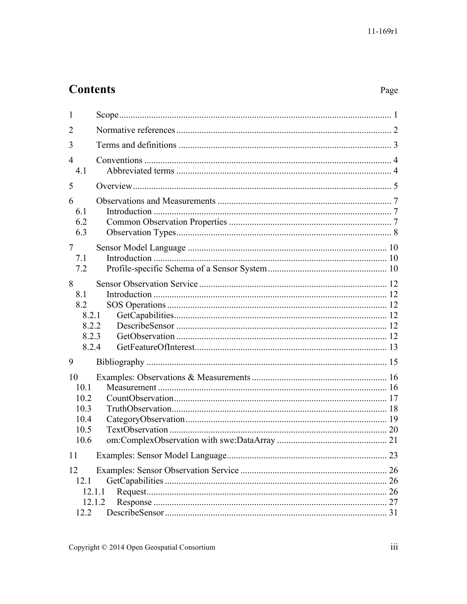# **Contents**

# Page

| 1                                                   |                  |  |
|-----------------------------------------------------|------------------|--|
| $\overline{2}$                                      |                  |  |
| 3                                                   |                  |  |
| $\overline{4}$<br>4.1                               |                  |  |
| 5                                                   |                  |  |
| 6<br>6.1<br>6.2<br>6.3                              |                  |  |
| 7<br>7.1<br>7.2                                     |                  |  |
| 8<br>8.1<br>8.2<br>8.2.1<br>8.2.2<br>8.2.3<br>8.2.4 |                  |  |
| 9                                                   |                  |  |
| 10<br>10.1<br>10.2<br>10.3<br>10.4<br>10.5<br>10.6  |                  |  |
| 11                                                  |                  |  |
| 12<br>12.1<br>12.2                                  | 12.1.1<br>12.1.2 |  |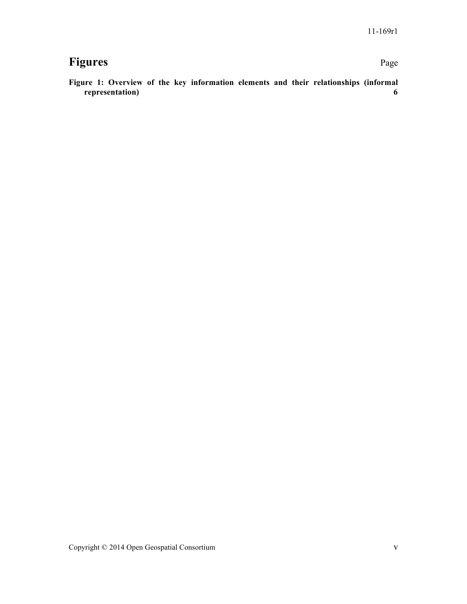# **Figures** Page

**Figure 1: Overview of the key information elements and their relationships (informal representation) 6**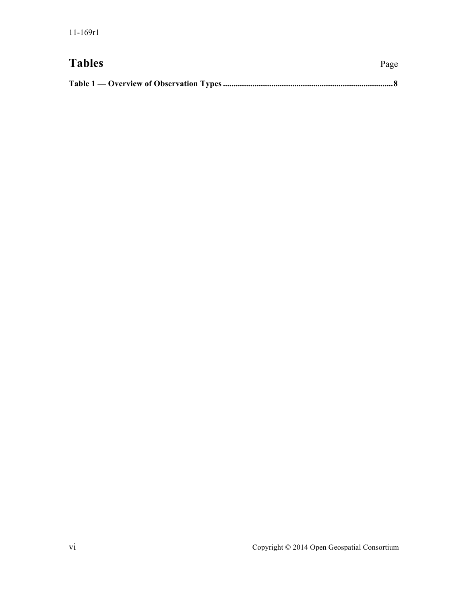# Tables Page

|--|--|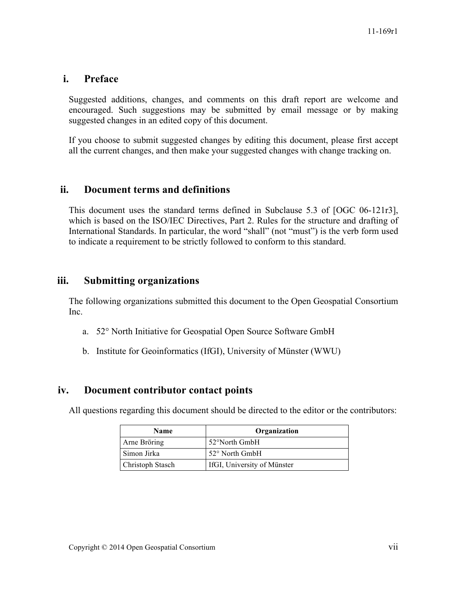# **i. Preface**

Suggested additions, changes, and comments on this draft report are welcome and encouraged. Such suggestions may be submitted by email message or by making suggested changes in an edited copy of this document.

If you choose to submit suggested changes by editing this document, please first accept all the current changes, and then make your suggested changes with change tracking on.

# **ii. Document terms and definitions**

This document uses the standard terms defined in Subclause 5.3 of [OGC 06-121r3], which is based on the ISO/IEC Directives, Part 2. Rules for the structure and drafting of International Standards. In particular, the word "shall" (not "must") is the verb form used to indicate a requirement to be strictly followed to conform to this standard.

# **iii. Submitting organizations**

The following organizations submitted this document to the Open Geospatial Consortium Inc.

- a. 52° North Initiative for Geospatial Open Source Software GmbH
- b. Institute for Geoinformatics (IfGI), University of Münster (WWU)

# **iv. Document contributor contact points**

All questions regarding this document should be directed to the editor or the contributors:

| <b>Name</b>      | Organization                |
|------------------|-----------------------------|
| Arne Bröring     | 52°North GmbH               |
| Simon Jirka      | $52^{\circ}$ North GmbH     |
| Christoph Stasch | IfGI, University of Münster |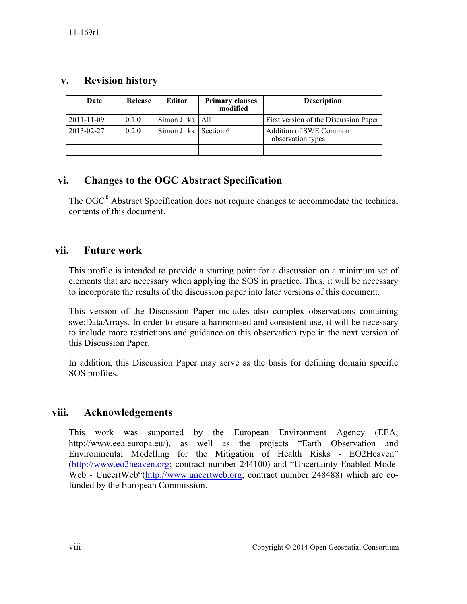# **v. Revision history**

| Date       | <b>Release</b> | Editor                  | <b>Primary clauses</b><br>modified | <b>Description</b>                          |
|------------|----------------|-------------------------|------------------------------------|---------------------------------------------|
| 2011-11-09 | 0.1.0          | Simon Jirka   All       |                                    | First version of the Discussion Paper       |
| 2013-02-27 | 0.2.0          | Simon Jirka   Section 6 |                                    | Addition of SWE Common<br>observation types |
|            |                |                         |                                    |                                             |

# **vi. Changes to the OGC Abstract Specification**

The OGC® Abstract Specification does not require changes to accommodate the technical contents of this document.

# **vii. Future work**

This profile is intended to provide a starting point for a discussion on a minimum set of elements that are necessary when applying the SOS in practice. Thus, it will be necessary to incorporate the results of the discussion paper into later versions of this document.

This version of the Discussion Paper includes also complex observations containing swe:DataArrays. In order to ensure a harmonised and consistent use, it will be necessary to include more restrictions and guidance on this observation type in the next version of this Discussion Paper.

In addition, this Discussion Paper may serve as the basis for defining domain specific SOS profiles.

# **viii. Acknowledgements**

This work was supported by the European Environment Agency (EEA; http://www.eea.europa.eu/), as well as the projects "Earth Observation and Environmental Modelling for the Mitigation of Health Risks - EO2Heaven" (http://www.eo2heaven.org; contract number 244100) and "Uncertainty Enabled Model Web - UncertWeb"(http://www.uncertweb.org; contract number 248488) which are cofunded by the European Commission.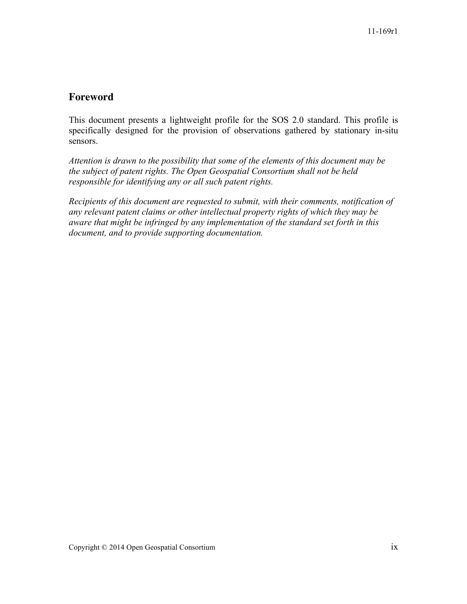# **Foreword**

This document presents a lightweight profile for the SOS 2.0 standard. This profile is specifically designed for the provision of observations gathered by stationary in-situ sensors.

*Attention is drawn to the possibility that some of the elements of this document may be the subject of patent rights. The Open Geospatial Consortium shall not be held responsible for identifying any or all such patent rights.*

*Recipients of this document are requested to submit, with their comments, notification of any relevant patent claims or other intellectual property rights of which they may be aware that might be infringed by any implementation of the standard set forth in this document, and to provide supporting documentation.*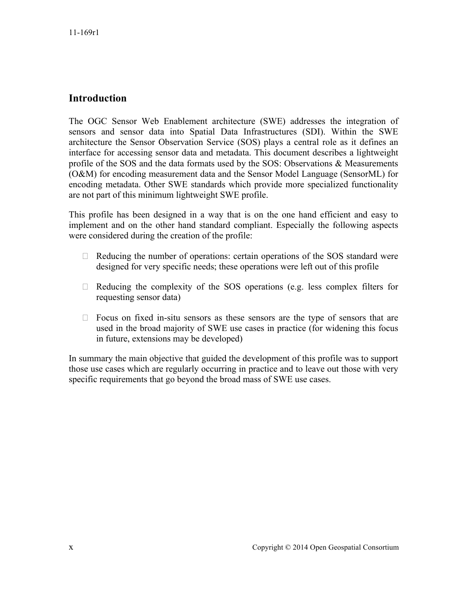# **Introduction**

The OGC Sensor Web Enablement architecture (SWE) addresses the integration of sensors and sensor data into Spatial Data Infrastructures (SDI). Within the SWE architecture the Sensor Observation Service (SOS) plays a central role as it defines an interface for accessing sensor data and metadata. This document describes a lightweight profile of the SOS and the data formats used by the SOS: Observations & Measurements (O&M) for encoding measurement data and the Sensor Model Language (SensorML) for encoding metadata. Other SWE standards which provide more specialized functionality are not part of this minimum lightweight SWE profile.

This profile has been designed in a way that is on the one hand efficient and easy to implement and on the other hand standard compliant. Especially the following aspects were considered during the creation of the profile:

- $\Box$  Reducing the number of operations: certain operations of the SOS standard were designed for very specific needs; these operations were left out of this profile
- $\Box$  Reducing the complexity of the SOS operations (e.g. less complex filters for requesting sensor data)
- $\Box$  Focus on fixed in-situ sensors as these sensors are the type of sensors that are used in the broad majority of SWE use cases in practice (for widening this focus in future, extensions may be developed)

In summary the main objective that guided the development of this profile was to support those use cases which are regularly occurring in practice and to leave out those with very specific requirements that go beyond the broad mass of SWE use cases.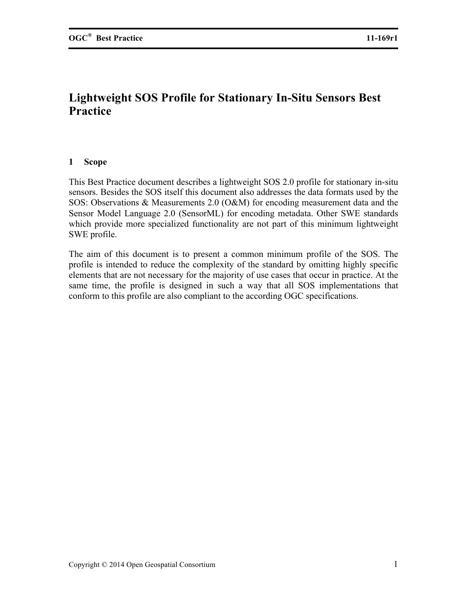# **Lightweight SOS Profile for Stationary In-Situ Sensors Best Practice**

## **1 Scope**

This Best Practice document describes a lightweight SOS 2.0 profile for stationary in-situ sensors. Besides the SOS itself this document also addresses the data formats used by the SOS: Observations & Measurements 2.0 (O&M) for encoding measurement data and the Sensor Model Language 2.0 (SensorML) for encoding metadata. Other SWE standards which provide more specialized functionality are not part of this minimum lightweight SWE profile.

The aim of this document is to present a common minimum profile of the SOS. The profile is intended to reduce the complexity of the standard by omitting highly specific elements that are not necessary for the majority of use cases that occur in practice. At the same time, the profile is designed in such a way that all SOS implementations that conform to this profile are also compliant to the according OGC specifications.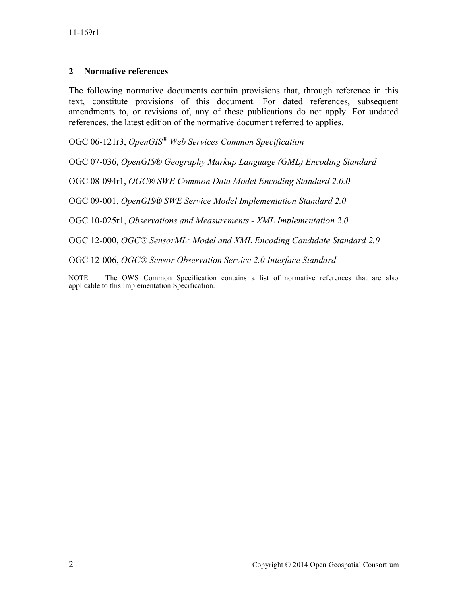## **2 Normative references**

The following normative documents contain provisions that, through reference in this text, constitute provisions of this document. For dated references, subsequent amendments to, or revisions of, any of these publications do not apply. For undated references, the latest edition of the normative document referred to applies.

OGC 06-121r3, *OpenGIS® Web Services Common Specification*

OGC 07-036, *OpenGIS® Geography Markup Language (GML) Encoding Standard*

OGC 08-094r1, *OGC® SWE Common Data Model Encoding Standard 2.0.0*

OGC 09-001, *OpenGIS® SWE Service Model Implementation Standard 2.0*

OGC 10-025r1, *Observations and Measurements - XML Implementation 2.0*

OGC 12-000, *OGC® SensorML: Model and XML Encoding Candidate Standard 2.0*

OGC 12-006, *OGC® Sensor Observation Service 2.0 Interface Standard*

NOTE The OWS Common Specification contains a list of normative references that are also applicable to this Implementation Specification.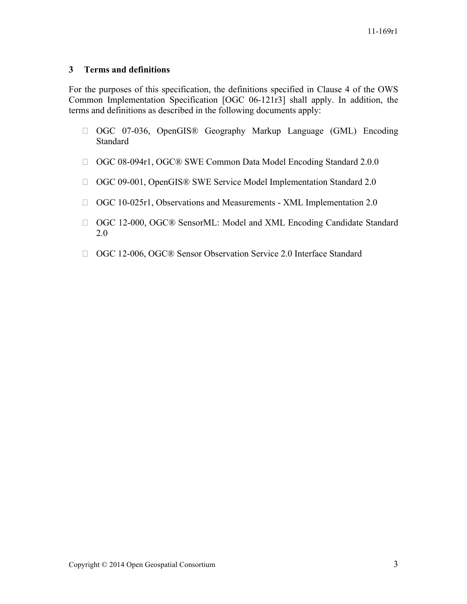## **3 Terms and definitions**

For the purposes of this specification, the definitions specified in Clause 4 of the OWS Common Implementation Specification [OGC 06-121r3] shall apply. In addition, the terms and definitions as described in the following documents apply:

- OGC 07-036, OpenGIS® Geography Markup Language (GML) Encoding Standard
- OGC 08-094r1, OGC® SWE Common Data Model Encoding Standard 2.0.0
- □ OGC 09-001, OpenGIS® SWE Service Model Implementation Standard 2.0
- OGC 10-025r1, Observations and Measurements XML Implementation 2.0
- OGC 12-000, OGC® SensorML: Model and XML Encoding Candidate Standard 2.0
- □ OGC 12-006, OGC® Sensor Observation Service 2.0 Interface Standard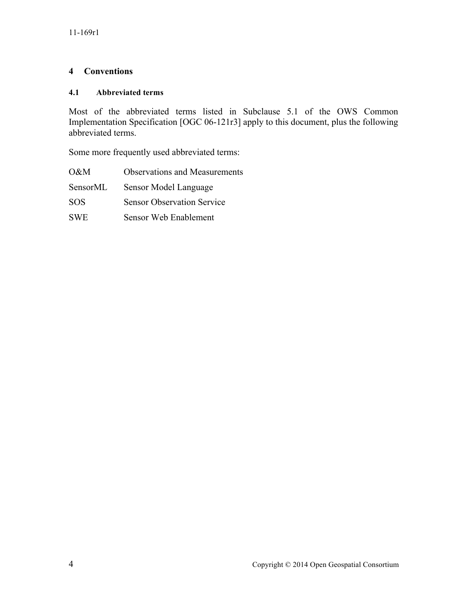## **4 Conventions**

## **4.1 Abbreviated terms**

Most of the abbreviated terms listed in Subclause 5.1 of the OWS Common Implementation Specification [OGC 06-121r3] apply to this document, plus the following abbreviated terms.

Some more frequently used abbreviated terms:

| $O\&M$     | <b>Observations and Measurements</b> |
|------------|--------------------------------------|
| SensorML   | Sensor Model Language                |
| SOS.       | <b>Sensor Observation Service</b>    |
| <b>SWE</b> | Sensor Web Enablement                |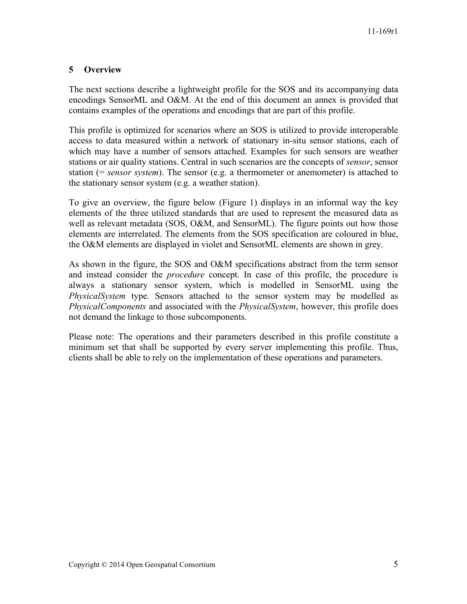## **5 Overview**

The next sections describe a lightweight profile for the SOS and its accompanying data encodings SensorML and O&M. At the end of this document an annex is provided that contains examples of the operations and encodings that are part of this profile.

This profile is optimized for scenarios where an SOS is utilized to provide interoperable access to data measured within a network of stationary in-situ sensor stations, each of which may have a number of sensors attached. Examples for such sensors are weather stations or air quality stations. Central in such scenarios are the concepts of *sensor*, sensor station (= *sensor system*). The sensor (e.g. a thermometer or anemometer) is attached to the stationary sensor system (e.g. a weather station).

To give an overview, the figure below (Figure 1) displays in an informal way the key elements of the three utilized standards that are used to represent the measured data as well as relevant metadata (SOS, O&M, and SensorML). The figure points out how those elements are interrelated. The elements from the SOS specification are coloured in blue, the O&M elements are displayed in violet and SensorML elements are shown in grey.

As shown in the figure, the SOS and O&M specifications abstract from the term sensor and instead consider the *procedure* concept. In case of this profile, the procedure is always a stationary sensor system, which is modelled in SensorML using the *PhysicalSystem* type. Sensors attached to the sensor system may be modelled as *PhysicalComponents* and associated with the *PhysicalSystem*, however, this profile does not demand the linkage to those subcomponents.

Please note: The operations and their parameters described in this profile constitute a minimum set that shall be supported by every server implementing this profile. Thus, clients shall be able to rely on the implementation of these operations and parameters.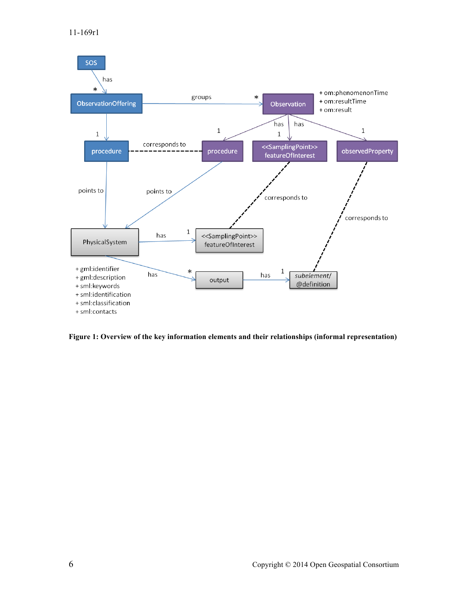

**Figure 1: Overview of the key information elements and their relationships (informal representation)**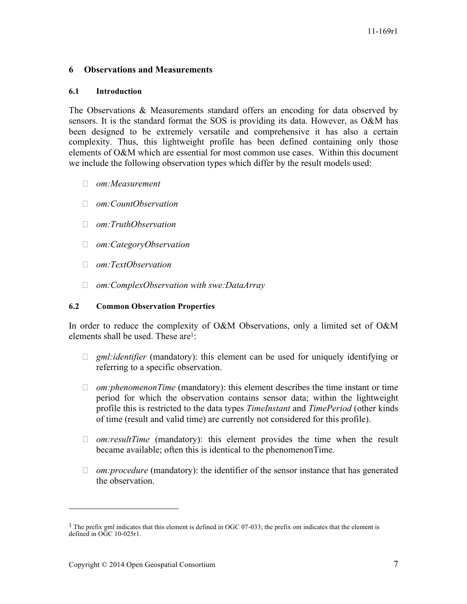## **6 Observations and Measurements**

### **6.1 Introduction**

The Observations & Measurements standard offers an encoding for data observed by sensors. It is the standard format the SOS is providing its data. However, as O&M has been designed to be extremely versatile and comprehensive it has also a certain complexity. Thus, this lightweight profile has been defined containing only those elements of O&M which are essential for most common use cases. Within this document we include the following observation types which differ by the result models used:

- *om:Measurement*
- *om:CountObservation*
- *om:TruthObservation*
- *om:CategoryObservation*
- *om:TextObservation*
- *om:ComplexObservation with swe:DataArray*

## **6.2 Common Observation Properties**

In order to reduce the complexity of O&M Observations, only a limited set of O&M elements shall be used. These are<sup>1</sup>:

- *gml:identifier* (mandatory): this element can be used for uniquely identifying or referring to a specific observation.
- *om:phenomenonTime* (mandatory): this element describes the time instant or time period for which the observation contains sensor data; within the lightweight profile this is restricted to the data types *TimeInstant* and *TimePeriod* (other kinds of time (result and valid time) are currently not considered for this profile).
- *om:resultTime* (mandatory): this element provides the time when the result became available; often this is identical to the phenomenonTime.
- □ *om:procedure* (mandatory): the identifier of the sensor instance that has generated the observation.

 $\overline{a}$ 

<sup>&</sup>lt;sup>1</sup> The prefix gml indicates that this element is defined in OGC 07-033; the prefix om indicates that the element is defined in OGC 10-025r1.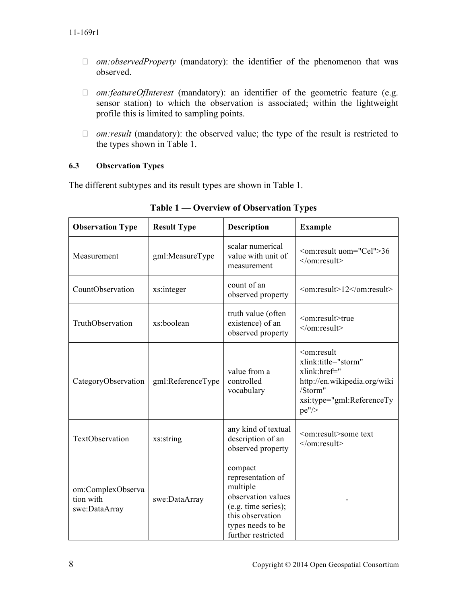- *om:observedProperty* (mandatory): the identifier of the phenomenon that was observed.
- *om:featureOfInterest* (mandatory): an identifier of the geometric feature (e.g. sensor station) to which the observation is associated; within the lightweight profile this is limited to sampling points.
- *om:result* (mandatory): the observed value; the type of the result is restricted to the types shown in Table 1.

## **6.3 Observation Types**

The different subtypes and its result types are shown in Table 1.

| <b>Observation Type</b>                         | <b>Result Type</b> | <b>Description</b>                                                                                                                                   | <b>Example</b>                                                                                                                                         |
|-------------------------------------------------|--------------------|------------------------------------------------------------------------------------------------------------------------------------------------------|--------------------------------------------------------------------------------------------------------------------------------------------------------|
| Measurement                                     | gml:MeasureType    | scalar numerical<br>value with unit of<br>measurement                                                                                                | <om:result uom="Cel">36<br/><math>\le</math>/om:result&gt;</om:result>                                                                                 |
| CountObservation                                | xs:integer         | count of an<br>observed property                                                                                                                     | <om:result>12</om:result>                                                                                                                              |
| TruthObservation                                | xs:boolean         | truth value (often<br>existence) of an<br>observed property                                                                                          | <om:result>true<br/><math>&lt;</math>/om:result&gt;</om:result>                                                                                        |
| CategoryObservation                             | gml:ReferenceType  | value from a<br>controlled<br>vocabulary                                                                                                             | <om:result<br>xlink:title="storm"<br/>xlink:href="<br/>http://en.wikipedia.org/wiki<br/>/Storm"<br/>xsi:type="gml:ReferenceTy<br/>pe''/</om:result<br> |
| TextObservation                                 | xs:string          | any kind of textual<br>description of an<br>observed property                                                                                        | <om:result>some text<br/></om:result>                                                                                                                  |
| om:ComplexObserva<br>tion with<br>swe:DataArray | swe:DataArray      | compact<br>representation of<br>multiple<br>observation values<br>(e.g. time series);<br>this observation<br>types needs to be<br>further restricted |                                                                                                                                                        |

**Table 1 — Overview of Observation Types**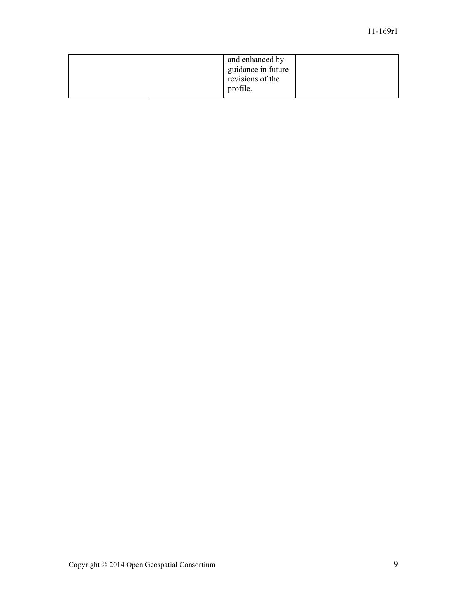|  | and enhanced by<br>guidance in future<br>revisions of the<br>profile. |  |
|--|-----------------------------------------------------------------------|--|
|  |                                                                       |  |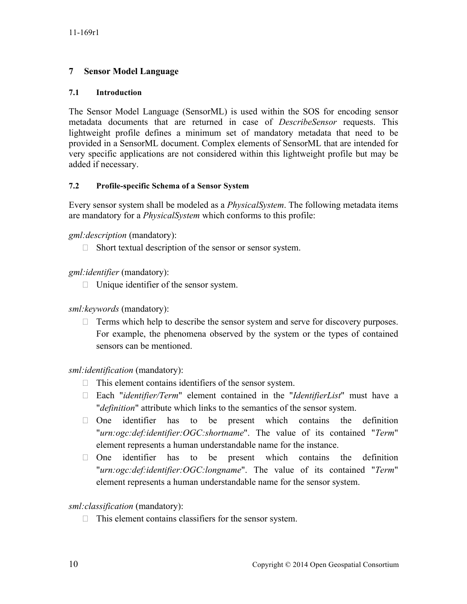## **7 Sensor Model Language**

## **7.1 Introduction**

The Sensor Model Language (SensorML) is used within the SOS for encoding sensor metadata documents that are returned in case of *DescribeSensor* requests. This lightweight profile defines a minimum set of mandatory metadata that need to be provided in a SensorML document. Complex elements of SensorML that are intended for very specific applications are not considered within this lightweight profile but may be added if necessary.

## **7.2 Profile-specific Schema of a Sensor System**

Every sensor system shall be modeled as a *PhysicalSystem*. The following metadata items are mandatory for a *PhysicalSystem* which conforms to this profile:

## *gml:description* (mandatory):

 $\Box$  Short textual description of the sensor or sensor system.

*gml:identifier* (mandatory):

 $\Box$  Unique identifier of the sensor system.

## *sml:keywords* (mandatory):

 $\Box$  Terms which help to describe the sensor system and serve for discovery purposes. For example, the phenomena observed by the system or the types of contained sensors can be mentioned.

*sml:identification* (mandatory):

- $\Box$  This element contains identifiers of the sensor system.
- Each "*identifier/Term*" element contained in the "*IdentifierList*" must have a "*definition*" attribute which links to the semantics of the sensor system.
- $\Box$  One identifier has to be present which contains the definition "*urn:ogc:def:identifier:OGC:shortname*". The value of its contained "*Term*" element represents a human understandable name for the instance.
- $\Box$  One identifier has to be present which contains the definition "*urn:ogc:def:identifier:OGC:longname*". The value of its contained "*Term*" element represents a human understandable name for the sensor system.

## *sml:classification* (mandatory):

 $\Box$  This element contains classifiers for the sensor system.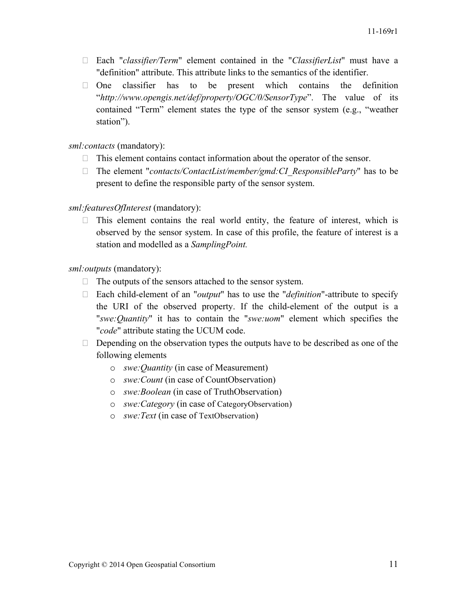- Each "*classifier/Term*" element contained in the "*ClassifierList*" must have a "definition" attribute. This attribute links to the semantics of the identifier.
- $\Box$  One classifier has to be present which contains the definition "*http://www.opengis.net/def/property/OGC/0/SensorType*". The value of its contained "Term" element states the type of the sensor system (e.g., "weather station").

*sml:contacts* (mandatory):

- $\Box$  This element contains contact information about the operator of the sensor.
- □ The element "*contacts/ContactList/member/gmd:CI\_ResponsibleParty*" has to be present to define the responsible party of the sensor system.

*sml:featuresOfInterest* (mandatory):

 $\Box$  This element contains the real world entity, the feature of interest, which is observed by the sensor system. In case of this profile, the feature of interest is a station and modelled as a *SamplingPoint.*

*sml:outputs* (mandatory):

- $\Box$  The outputs of the sensors attached to the sensor system.
- Each child-element of an "*output*" has to use the "*definition*"-attribute to specify the URI of the observed property. If the child-element of the output is a "*swe:Quantity*" it has to contain the "*swe:uom*" element which specifies the "*code*" attribute stating the UCUM code.
- $\Box$  Depending on the observation types the outputs have to be described as one of the following elements
	- o *swe:Quantity* (in case of Measurement)
	- o *swe:Count* (in case of CountObservation)
	- o *swe:Boolean* (in case of TruthObservation)
	- o *swe:Category* (in case of CategoryObservation)
	- o *swe:Text* (in case of TextObservation)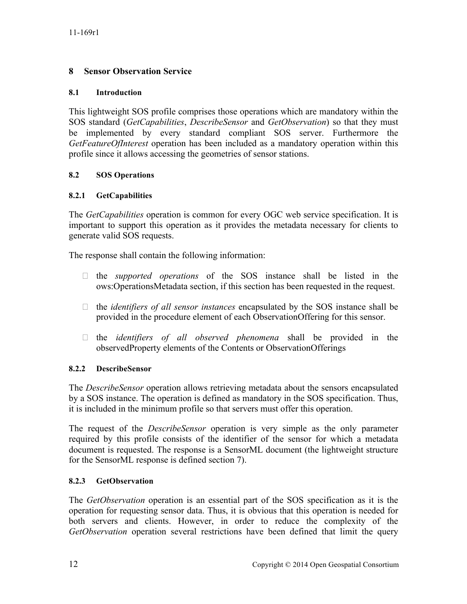# **8 Sensor Observation Service**

## **8.1 Introduction**

This lightweight SOS profile comprises those operations which are mandatory within the SOS standard (*GetCapabilities*, *DescribeSensor* and *GetObservation*) so that they must be implemented by every standard compliant SOS server. Furthermore the *GetFeatureOfInterest* operation has been included as a mandatory operation within this profile since it allows accessing the geometries of sensor stations.

## **8.2 SOS Operations**

## **8.2.1 GetCapabilities**

The *GetCapabilities* operation is common for every OGC web service specification. It is important to support this operation as it provides the metadata necessary for clients to generate valid SOS requests.

The response shall contain the following information:

- the *supported operations* of the SOS instance shall be listed in the ows:OperationsMetadata section, if this section has been requested in the request.
- the *identifiers of all sensor instances* encapsulated by the SOS instance shall be provided in the procedure element of each ObservationOffering for this sensor.
- the *identifiers of all observed phenomena* shall be provided in the observedProperty elements of the Contents or ObservationOfferings

## **8.2.2 DescribeSensor**

The *DescribeSensor* operation allows retrieving metadata about the sensors encapsulated by a SOS instance. The operation is defined as mandatory in the SOS specification. Thus, it is included in the minimum profile so that servers must offer this operation.

The request of the *DescribeSensor* operation is very simple as the only parameter required by this profile consists of the identifier of the sensor for which a metadata document is requested. The response is a SensorML document (the lightweight structure for the SensorML response is defined section 7).

## **8.2.3 GetObservation**

The *GetObservation* operation is an essential part of the SOS specification as it is the operation for requesting sensor data. Thus, it is obvious that this operation is needed for both servers and clients. However, in order to reduce the complexity of the *GetObservation* operation several restrictions have been defined that limit the query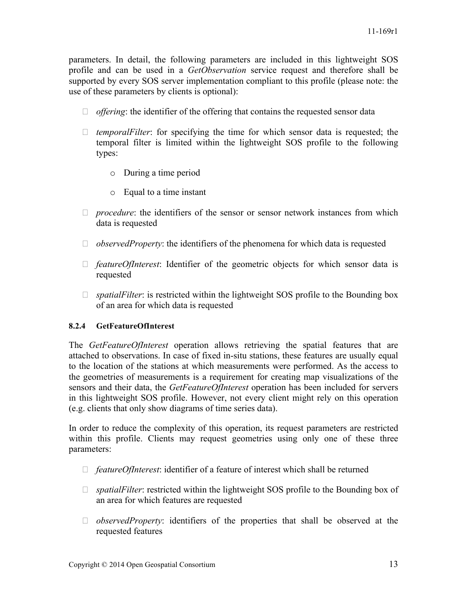parameters. In detail, the following parameters are included in this lightweight SOS profile and can be used in a *GetObservation* service request and therefore shall be supported by every SOS server implementation compliant to this profile (please note: the use of these parameters by clients is optional):

- *offering*: the identifier of the offering that contains the requested sensor data
- □ *temporalFilter*: for specifying the time for which sensor data is requested; the temporal filter is limited within the lightweight SOS profile to the following types:
	- o During a time period
	- o Equal to a time instant
- *procedure*: the identifiers of the sensor or sensor network instances from which data is requested
- $\Box$  *observedProperty*: the identifiers of the phenomena for which data is requested
- *featureOfInterest*: Identifier of the geometric objects for which sensor data is requested
- □ *spatialFilter*: is restricted within the lightweight SOS profile to the Bounding box of an area for which data is requested

## **8.2.4 GetFeatureOfInterest**

The *GetFeatureOfInterest* operation allows retrieving the spatial features that are attached to observations. In case of fixed in-situ stations, these features are usually equal to the location of the stations at which measurements were performed. As the access to the geometries of measurements is a requirement for creating map visualizations of the sensors and their data, the *GetFeatureOfInterest* operation has been included for servers in this lightweight SOS profile. However, not every client might rely on this operation (e.g. clients that only show diagrams of time series data).

In order to reduce the complexity of this operation, its request parameters are restricted within this profile. Clients may request geometries using only one of these three parameters:

- *featureOfInterest*: identifier of a feature of interest which shall be returned
- □ *spatialFilter*: restricted within the lightweight SOS profile to the Bounding box of an area for which features are requested
- *observedProperty*: identifiers of the properties that shall be observed at the requested features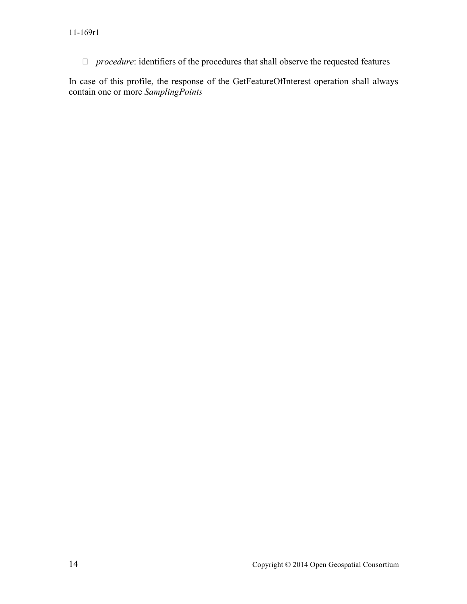*procedure*: identifiers of the procedures that shall observe the requested features

In case of this profile, the response of the GetFeatureOfInterest operation shall always contain one or more *SamplingPoints*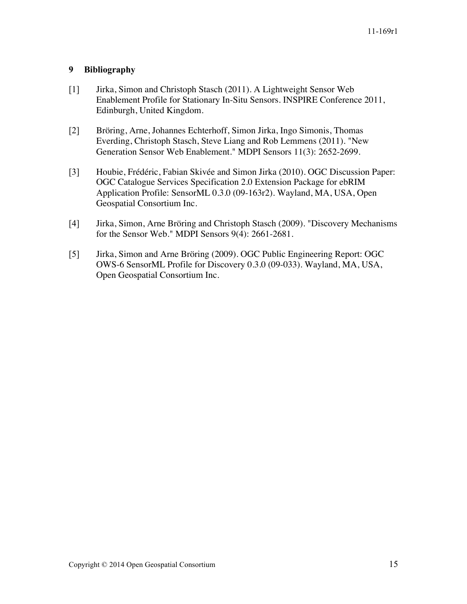# **9 Bibliography**

- [1] Jirka, Simon and Christoph Stasch (2011). A Lightweight Sensor Web Enablement Profile for Stationary In-Situ Sensors. INSPIRE Conference 2011, Edinburgh, United Kingdom.
- [2] Bröring, Arne, Johannes Echterhoff, Simon Jirka, Ingo Simonis, Thomas Everding, Christoph Stasch, Steve Liang and Rob Lemmens (2011). "New Generation Sensor Web Enablement." MDPI Sensors 11(3): 2652-2699.
- [3] Houbie, Frédéric, Fabian Skivée and Simon Jirka (2010). OGC Discussion Paper: OGC Catalogue Services Specification 2.0 Extension Package for ebRIM Application Profile: SensorML 0.3.0 (09-163r2). Wayland, MA, USA, Open Geospatial Consortium Inc.
- [4] Jirka, Simon, Arne Bröring and Christoph Stasch (2009). "Discovery Mechanisms for the Sensor Web." MDPI Sensors 9(4): 2661-2681.
- [5] Jirka, Simon and Arne Bröring (2009). OGC Public Engineering Report: OGC OWS-6 SensorML Profile for Discovery 0.3.0 (09-033). Wayland, MA, USA, Open Geospatial Consortium Inc.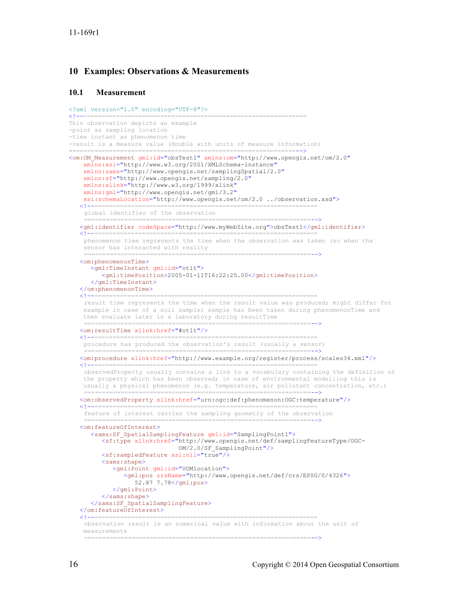### **10 Examples: Observations & Measurements**

#### **10.1 Measurement**

```
<?xml version="1.0" encoding="UTF-8"?>
<!--=============================================================
This observation depicts an example 
-point as sampling location 
-time instant as phenomenon time
-result is a measure value (double with units of measure information)
             ==============================================================-->
<om:OM_Measurement gml:id="obsTest1" xmlns:om="http://www.opengis.net/om/2.0"
     xmlns:xsi="http://www.w3.org/2001/XMLSchema-instance"
     xmlns:sams="http://www.opengis.net/samplingSpatial/2.0"
     xmlns:sf="http://www.opengis.net/sampling/2.0"
     xmlns:xlink="http://www.w3.org/1999/xlink"
     xmlns:gml="http://www.opengis.net/gml/3.2"
    xsi:schemaLocation="http://www.opengis.net/om/2.0 ../observation.xsd">
 <!--=============================================================
    global identifier of the observation
               ==============================================================-->
    <gml:identifier codeSpace="http://www.myWebSite.org">obsTest1</gml:identifier>
 <!--=============================================================
    phenomenon time represents the time when the observation was taken (so when the 
     sensor has interacted with reality
                                             ==============================================================-->
    <om:phenomenonTime>
       <gml:TimeInstant gml:id="ot1t">
          <gml:timePosition>2005-01-11T16:22:25.00</gml:timePosition>
       </gml:TimeInstant>
    </om:phenomenonTime>
                         <!--=============================================================
    result time represents the time when the result value was produced; might differ for 
    example in case of a soil sample; sample has been taken during phenomenonTime and
     then evaluate later in a laboratory during resultTime
                                          ==============================================================-->
    <om:resultTime xlink:href="#ot1t"/>
    <!--=============================================================
    procedure has produced the observation's result (usually a sensor)
              ==============================================================-->
   <om:procedure xlink:href="http://www.example.org/register/process/scales34.xml"/>
    <!--=============================================================
    observedProperty usually contains a link to a vocabulary containing the definition of 
     the property which has been observed; in case of environmental modelling this is 
     usually a physical phenomenon (e.g. temperature, air pollutant concentration, etc.)
    ==============================================================-->
 <om:observedProperty xlink:href="urn:ogc:def:phenomenon:OGC:temperature"/>
    <!--=============================================================
    feature of interest carries the sampling geometry of the observation
    ==============================================================-->
    <om:featureOfInterest>
       <sams:SF_SpatialSamplingFeature gml:id="SamplingPoint1">
          <sf:type xlink:href="http://www.opengis.net/def/samplingFeatureType/OGC-
                                OM/2.0/SF_SamplingPoint"/>
          <sf:sampledFeature xsi:nil="true"/>
          <sams:shape>
             <gml:Point gml:id="UOMlocation">
 <gml:pos srsName="http://www.opengis.net/def/crs/EPSG/0/4326">
 52.87 7.78</gml:pos>
             </gml:Point>
          </sams:shape>
       </sams:SF_SpatialSamplingFeature>
   </om:featureOfInterest><br><!----------------------
 <!--=============================================================
    observation result is an numerical value with information about the unit of 
     measurements
```
==============================================================-->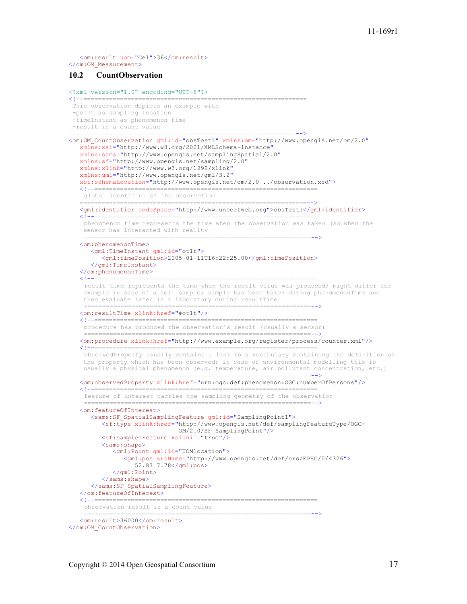<om:result uom="Cel">36</om:result> </om:OM\_Measurement>

#### **10.2 CountObservation**

```
<?xml version="1.0" encoding="UTF-8"?>
                <!--=============================================================
This observation depicts an example with 
 -point as sampling location
 -timeInstant as phenomenon time
 -result is a count value
                         ==============================================================-->
<om:OM_CountObservation gml:id="obsTest1" xmlns:om="http://www.opengis.net/om/2.0"
    xmlns:xsi="http://www.w3.org/2001/XMLSchema-instance"
    xmlns:sams="http://www.opengis.net/samplingSpatial/2.0"
    xmlns:sf="http://www.opengis.net/sampling/2.0"
    xmlns:xlink="http://www.w3.org/1999/xlink"
    xmlns:gml="http://www.opengis.net/gml/3.2"
    xsi:schemaLocation="http://www.opengis.net/om/2.0 ../observation.xsd">
   \lt!! --=====================
    global identifier of the observation
            ==============================================================-->
    <gml:identifier codeSpace="http://www.uncertweb.org">obsTest1</gml:identifier>
    <!--=============================================================
   phenomenon time represents the time when the observation was taken (so when the 
     sensor has interacted with reality
                                         ==============================================================-->
    <om:phenomenonTime>
       <gml:TimeInstant gml:id="ot1t">
          <gml:timePosition>2005-01-11T16:22:25.00</gml:timePosition>
       </gml:TimeInstant>
    </om:phenomenonTime>
    <!--=============================================================
    result time represents the time when the result value was produced; might differ for 
    example in case of a soil sample; sample has been taken during phenomenonTime and
     then evaluate later in a laboratory during resultTime
    ==============================================================-->
 <om:resultTime xlink:href="#ot1t"/>
   <! --=========================
    procedure has produced the observation's result (usually a sensor)
     ==============================================================-->
    <om:procedure xlink:href="http://www.example.org/register/process/counter.xml"/>
    <!--=============================================================
    observedProperty usually contains a link to a vocabulary containing the definition of 
     the property which has been observed; in case of environmental modelling this is 
     usually a physical phenomenon (e.g. temperature, air pollutant concentration, etc.)
                   ==============================================================-->
    <om:observedProperty xlink:href="urn:ogc:def:phenomenon:OGC:numberOfPersons"/>
    <!--=============================================================
    feature of interest carries the sampling geometry of the observation
                               ===================
    <om:featureOfInterest>
       <sams:SF_SpatialSamplingFeature gml:id="SamplingPoint1">
          <sf:type xlink:href="http://www.opengis.net/def/samplingFeatureType/OGC-
                                 OM/2.0/SF_SamplingPoint"/>
          <sf:sampledFeature xsi:nil="true"/>
          <sams:shape>
              <gml:Point gml:id="UOMlocation">
                 <gml:pos srsName="http://www.opengis.net/def/crs/EPSG/0/4326">
                    52.87 7.78</gml:pos>
              </gml:Point>
         </sams:shape>
       </sams:SF_SpatialSamplingFeature>
   </om:featureOfInterest>
 <!--=============================================================
    observation result is a count value
                                            ==============================================================-->
    <om:result>36000</om:result>
</om:OM_CountObservation>
```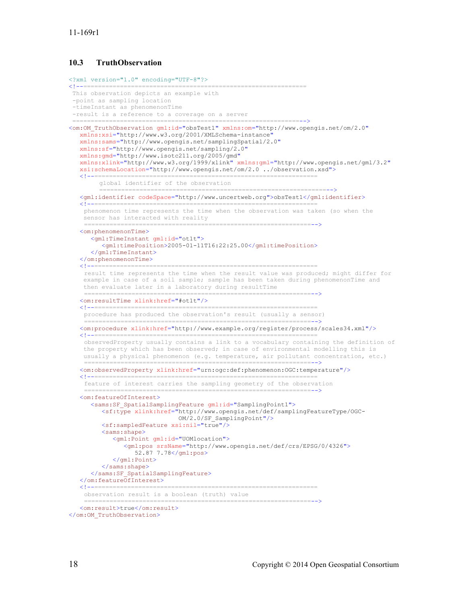### **10.3 TruthObservation**

```
<?xml version="1.0" encoding="UTF-8"?>
            ============================
This observation depicts an example with 
 -point as sampling location
 -timeInstant as phenomenonTime
-result is a reference to a coverage on a server
 ==============================================================-->
<om:OM_TruthObservation gml:id="obsTest1" xmlns:om="http://www.opengis.net/om/2.0"
   xmlns:xsi="http://www.w3.org/2001/XMLSchema-instance"
    xmlns:sams="http://www.opengis.net/samplingSpatial/2.0"
    xmlns:sf="http://www.opengis.net/sampling/2.0"
    xmlns:gmd="http://www.isotc211.org/2005/gmd"
    xmlns:xlink="http://www.w3.org/1999/xlink" xmlns:gml="http://www.opengis.net/gml/3.2"
    xsi:schemaLocation="http://www.opengis.net/om/2.0 ../observation.xsd">
 <!--=============================================================
        global identifier of the observation
                ==============================================================-->
    <gml:identifier codeSpace="http://www.uncertweb.org">obsTest1</gml:identifier>
    <!--=============================================================
   phenomenon time represents the time when the observation was taken (so when the 
     sensor has interacted with reality
                   ==============================================================-->
    <om:phenomenonTime>
       <gml:TimeInstant gml:id="ot1t">
          <gml:timePosition>2005-01-11T16:22:25.00</gml:timePosition>
       </gml:TimeInstant>
    </om:phenomenonTime>
 <!--=============================================================
    result time represents the time when the result value was produced; might differ for 
   example in case of a soil sample; sample has been taken during phenomenonTime and
    then evaluate later in a laboratory during resultTime
     ==============================================================-->
    <om:resultTime xlink:href="#ot1t"/>
    <!--=============================================================
    procedure has produced the observation's result (usually a sensor)
              ==============================================================-->
    <om:procedure xlink:href="http://www.example.org/register/process/scales34.xml"/>
 <!--=============================================================
    observedProperty usually contains a link to a vocabulary containing the definition of 
     the property which has been observed; in case of environmental modelling this is 
     usually a physical phenomenon (e.g. temperature, air pollutant concentration, etc.)
    ==============================================================-->
    <om:observedProperty xlink:href="urn:ogc:def:phenomenon:OGC:temperature"/>
 <!--=============================================================
    feature of interest carries the sampling geometry of the observation
    ==============================================================-->
    <om:featureOfInterest>
       <sams:SF_SpatialSamplingFeature gml:id="SamplingPoint1">
          <sf:type xlink:href="http://www.opengis.net/def/samplingFeatureType/OGC-
                                OM/2.0/SF_SamplingPoint"/>
          <sf:sampledFeature xsi:nil="true"/>
          <sams:shape>
             <gml:Point gml:id="UOMlocation">
                <gml:pos srsName="http://www.opengis.net/def/crs/EPSG/0/4326">
                   52.87 7.78</gml:pos>
            \langle/\ldotsl:Point>
         </sams:shape>
       </sams:SF_SpatialSamplingFeature>
    </om:featureOfInterest>
    <!--=============================================================
    observation result is a boolean (truth) value
                                                    ==============================================================-->
    <om:result>true</om:result>
```
</om: OM\_TruthObservation>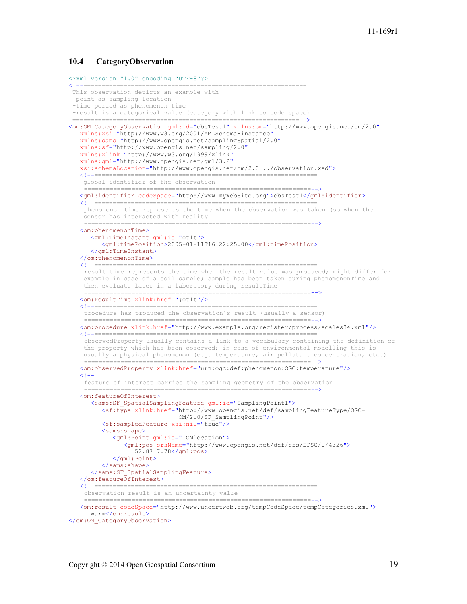#### **10.4 CategoryObservation**

```
<?xml version="1.0" encoding="UTF-8"?>
<!--=============================================================
This observation depicts an example with 
 -point as sampling location
 -time period as phenomenon time
-result is a categorical value (category with link to code space)
                            ==============================================================-->
<om:OM_CategoryObservation gml:id="obsTest1" xmlns:om="http://www.opengis.net/om/2.0"
    xmlns:xsi="http://www.w3.org/2001/XMLSchema-instance"
    xmlns:sams="http://www.opengis.net/samplingSpatial/2.0"
    xmlns:sf="http://www.opengis.net/sampling/2.0" 
    xmlns:xlink="http://www.w3.org/1999/xlink"
    xmlns:gml="http://www.opengis.net/gml/3.2"
    xsi:schemaLocation="http://www.opengis.net/om/2.0 ../observation.xsd">
 <!--=============================================================
    global identifier of the observation
     ==============================================================-->
    <gml:identifier codeSpace="http://www.myWebSite.org">obsTest1</gml:identifier>
    <!--=============================================================
   phenomenon time represents the time when the observation was taken (so when the 
     sensor has interacted with reality
                                         ==============================================================-->
    <om:phenomenonTime>
       <gml:TimeInstant gml:id="ot1t">
          <gml:timePosition>2005-01-11T16:22:25.00</gml:timePosition>
       </gml:TimeInstant>
   </om:phenomenonTime><br><!--================
                 <!--=============================================================
    result time represents the time when the result value was produced; might differ for 
     example in case of a soil sample; sample has been taken during phenomenonTime and 
     then evaluate later in a laboratory during resultTime
    ==============================================================-->
    <om:resultTime xlink:href="#ot1t"/>
 <!--=============================================================
    procedure has produced the observation's result (usually a sensor)
                    ==============================================================-->
    <om:procedure xlink:href="http://www.example.org/register/process/scales34.xml"/>
 <!--=============================================================
    observedProperty usually contains a link to a vocabulary containing the definition of 
     the property which has been observed; in case of environmental modelling this is 
     usually a physical phenomenon (e.g. temperature, air pollutant concentration, etc.)
    ==============================================================-->
 <om:observedProperty xlink:href="urn:ogc:def:phenomenon:OGC:temperature"/>
    <!--=============================================================
    feature of interest carries the sampling geometry of the observation
    ==============================================================-->
    <om:featureOfInterest>
       <sams:SF_SpatialSamplingFeature gml:id="SamplingPoint1">
          <sf:type xlink:href="http://www.opengis.net/def/samplingFeatureType/OGC-
                                OM/2.0/SF_SamplingPoint"/>
          <sf:sampledFeature xsi:nil="true"/>
          <sams:shape>
             <gml:Point gml:id="UOMlocation">
                 <gml:pos srsName="http://www.opengis.net/def/crs/EPSG/0/4326">
                   52.87 7.78</gml:pos>
             </gml:Point>
         </sams:shape>
       </sams:SF_SpatialSamplingFeature>
   </om:featureOfInterest>
                                       <!--=============================================================
    observation result is an uncertainty value
    ==============================================================-->
 <om:result codeSpace="http://www.uncertweb.org/tempCodeSpace/tempCategories.xml">
      warm</om:result>
</om:OM_CategoryObservation>
```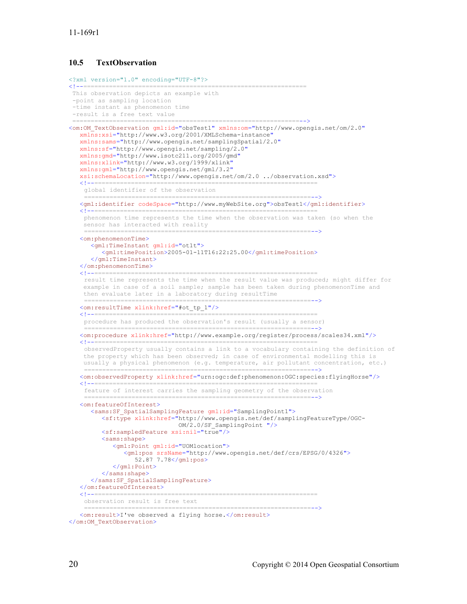## **10.5 TextObservation**

```
<?xml version="1.0" encoding="UTF-8"?>
                                                    <!--=============================================================
This observation depicts an example with 
 -point as sampling location
 -time instant as phenomenon time
-result is a free text value
 ==============================================================-->
<om:OM_TextObservation gml:id="obsTest1" xmlns:om="http://www.opengis.net/om/2.0"
   xmlns:xsi="http://www.w3.org/2001/XMLSchema-instance"
    xmlns:sams="http://www.opengis.net/samplingSpatial/2.0" 
    xmlns:sf="http://www.opengis.net/sampling/2.0"
    xmlns:gmd="http://www.isotc211.org/2005/gmd"
    xmlns:xlink="http://www.w3.org/1999/xlink"
    xmlns:gml="http://www.opengis.net/gml/3.2"
    xsi:schemaLocation="http://www.opengis.net/om/2.0 ../observation.xsd">
 <!--=============================================================
   global identifier of the observation
     ==============================================================-->
    <gml:identifier codeSpace="http://www.myWebSite.org">obsTest1</gml:identifier>
 <!--=============================================================
    phenomenon time represents the time when the observation was taken (so when the 
     sensor has interacted with reality
                                          ==============================================================-->
    <om:phenomenonTime>
       <gml:TimeInstant gml:id="ot1t">
          <gml:timePosition>2005-01-11T16:22:25.00</gml:timePosition>
       </gml:TimeInstant>
    </om:phenomenonTime>
                            <!--=============================================================
   result time represents the time when the result value was produced; might differ for 
    example in case of a soil sample; sample has been taken during phenomenonTime and 
     then evaluate later in a laboratory during resultTime
    ==============================================================-->
    <om:resultTime xlink:href="#ot_tp_1"/>
 <!--=============================================================
    procedure has produced the observation's result (usually a sensor)
         ==============================================================-->
    <om:procedure xlink:href="http://www.example.org/register/process/scales34.xml"/>
    <!--=============================================================
    observedProperty usually contains a link to a vocabulary containing the definition of 
     the property which has been observed; in case of environmental modelling this is 
     usually a physical phenomenon (e.g. temperature, air pollutant concentration, etc.)
    ==============================================================-->
 <om:observedProperty xlink:href="urn:ogc:def:phenomenon:OGC:species:flyingHorse"/>
    <!--=============================================================
    feature of interest carries the sampling geometry of the observation
    ==============================================================-->
    <om:featureOfInterest>
       <sams:SF_SpatialSamplingFeature gml:id="SamplingPoint1">
          <sf:type xlink:href="http://www.opengis.net/def/samplingFeatureType/OGC-
                                OM/2.0/SF_SamplingPoint "/>
          <sf:sampledFeature xsi:nil="true"/>
          <sams:shape>
              <gml:Point gml:id="UOMlocation">
                 <gml:pos srsName="http://www.opengis.net/def/crs/EPSG/0/4326">
                    52.87 7.78</gml:pos>
             </gml:Point>
          </sams:shape>
       </sams:SF_SpatialSamplingFeature>
   </om:featureOfInterest><br><!--=====================
                                     ======================================
   observation result is free text
                                                          ==============================================================-->
    <om:result>I've observed a flying horse.</om:result>
</om:OM_TextObservation>
```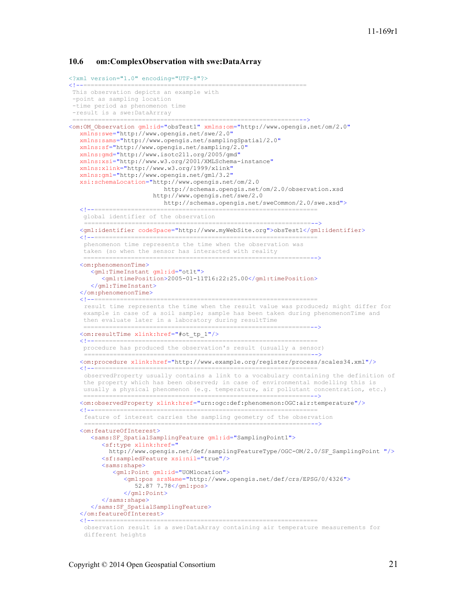#### **10.6 om:ComplexObservation with swe:DataArray**

```
<?xml version="1.0" encoding="UTF-8"?>
<!--=============================================================
This observation depicts an example with 
 -point as sampling location
 -time period as phenomenon time
 -result is a swe:DataArrray
                 ==============================================================-->
<om:OM_Observation gml:id="obsTest1" xmlns:om="http://www.opengis.net/om/2.0"
    xmlns:swe="http://www.opengis.net/swe/2.0"
    xmlns:sams="http://www.opengis.net/samplingSpatial/2.0"
    xmlns:sf="http://www.opengis.net/sampling/2.0"
    xmlns:gmd="http://www.isotc211.org/2005/gmd"
    xmlns:xsi="http://www.w3.org/2001/XMLSchema-instance"
    xmlns:xlink="http://www.w3.org/1999/xlink"
    xmlns:gml="http://www.opengis.net/gml/3.2"
    xsi:schemaLocation="http://www.opengis.net/om/2.0 
                             http://schemas.opengis.net/om/2.0/observation.xsd
                         http://www.opengis.net/swe/2.0 
                            http://schemas.opengis.net/sweCommon/2.0/swe.xsd">
 <!--=============================================================
     global identifier of the observation
            ==============================================================-->
    <gml:identifier codeSpace="http://www.myWebSite.org">obsTest1</gml:identifier>
    <!--=============================================================
    phenomenon time represents the time when the observation was 
     taken (so when the sensor has interacted with reality
 ==============================================================-->
    <om:phenomenonTime>
       <gml:TimeInstant gml:id="ot1t">
          <gml:timePosition>2005-01-11T16:22:25.00</gml:timePosition>
       </gml:TimeInstant>
   </om:phenomenonTime><br><!--=================
                       <!--=============================================================
    result time represents the time when the result value was produced; might differ for 
     example in case of a soil sample; sample has been taken during phenomenonTime and 
     then evaluate later in a laboratory during resultTime
                                              ==============================================================-->
    <om:resultTime xlink:href="#ot_tp_1"/>
    <!--=============================================================
     procedure has produced the observation's result (usually a sensor)
                              ==============================================================-->
    <om:procedure xlink:href="http://www.example.org/register/process/scales34.xml"/>
 <!--=============================================================
    observedProperty usually contains a link to a vocabulary containing the definition of 
     the property which has been observed; in case of environmental modelling this is 
     usually a physical phenomenon (e.g. temperature, air pollutant concentration, etc.)
  ==============================================================-->
 <om:observedProperty xlink:href="urn:ogc:def:phenomenon:OGC:air:temperature"/>
 <!--=============================================================
    feature of interest carries the sampling geometry of the observation
    ==============================================================-->
    <om:featureOfInterest>
      <sams:SF SpatialSamplingFeature gml:id="SamplingPoint1">
          <sf:type xlink:href="
            http://www.opengis.net/def/samplingFeatureType/OGC-OM/2.0/SF_SamplingPoint "/>
          <sf:sampledFeature xsi:nil="true"/>
          <sams:shape>
              <gml:Point gml:id="UOMlocation">
                 <gml:pos srsName="http://www.opengis.net/def/crs/EPSG/0/4326">
                    52.87 7.78</gml:pos>
                 </gml:Point>
          </sams:shape>
       </sams:SF_SpatialSamplingFeature>
    </om:featureOfInterest>
    <!--=============================================================
    observation result is a swe:DataArray containing air temperature measurements for 
    different heights
```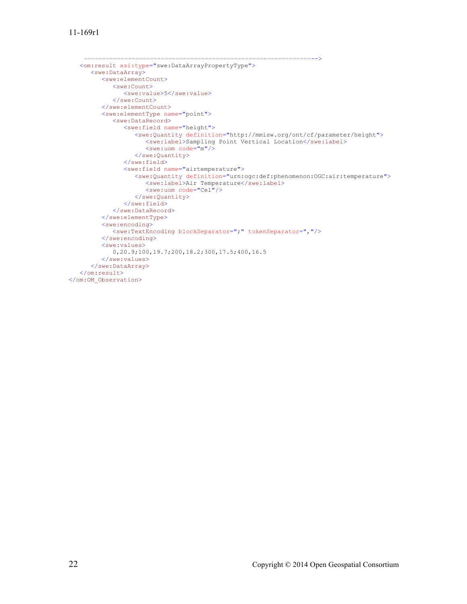```
==============================================================-->
 <om:result xsi:type="swe:DataArrayPropertyType">
      <swe:DataArray>
         <swe:elementCount>
             <swe:Count>
                <swe:value>5</swe:value>
             </swe:Count>
          </swe:elementCount>
          <swe:elementType name="point">
             <swe:DataRecord>
                <swe:field name="height">
                   <swe:Quantity definition="http://mmisw.org/ont/cf/parameter/height">
                       <swe:label>Sampling Point Vertical Location</swe:label>
                       <swe:uom code="m"/>
                   </swe:Quantity>
               \langle/swe:field>
                <swe:field name="airtemperature">
                   <swe:Quantity definition="urn:ogc:def:phenomenon:OGC:air:temperature">
                      <swe:label>Air Temperature</swe:label>
                      <swe:uom code="Cel"/>
                   </swe:Quantity>
                </swe:field>
             </swe:DataRecord>
          </swe:elementType>
          <swe:encoding>
             <swe:TextEncoding blockSeparator=";" tokenSeparator=","/>
          </swe:encoding>
          <swe:values>
             0,20.9;100,19.7;200,18.2;300,17.5;400,16.5
          </swe:values>
       </swe:DataArray>
    </om:result>
</om:OM_Observation>
```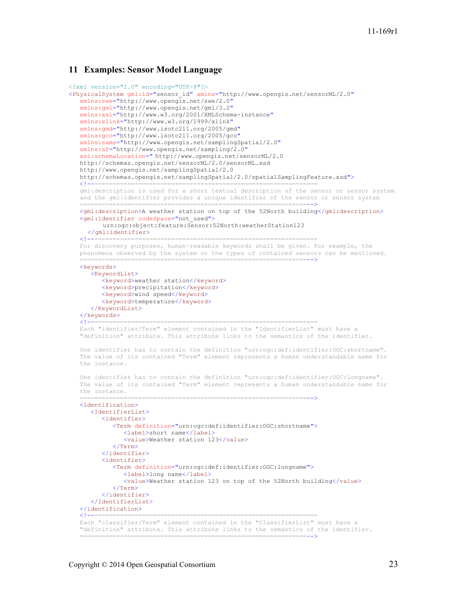#### **11 Examples: Sensor Model Language**

```
<?xml version="1.0" encoding="UTF-8"?>
<PhysicalSystem gml:id="sensor_id" xmlns="http://www.opengis.net/sensorML/2.0"
    xmlns:swe="http://www.opengis.net/swe/2.0"
    xmlns:gml="http://www.opengis.net/gml/3.2"
   xmlns:xsi="http://www.w3.org/2001/XMLSchema-instance"
   xmlns:xlink="http://www.w3.org/1999/xlink"
    xmlns:gmd="http://www.isotc211.org/2005/gmd"
   xmlns:gco="http://www.isotc211.org/2005/gco"
    xmlns:sams="http://www.opengis.net/samplingSpatial/2.0"
    xmlns:sf="http://www.opengis.net/sampling/2.0"
   xsi:schemaLocation=" http://www.opengis.net/sensorML/2.0 
    http://schemas.opengis.net/sensorML/2.0/sensorML.xsd
    http://www.opengis.net/samplingSpatial/2.0
    http://schemas.opengis.net/samplingSpatial/2.0/spatialSamplingFeature.xsd">
 <!--=============================================================
    gml:description is used for a short textual description of the sensor or sensor system 
   and the gml:identifier provides a unique identifier of the sensor or sensor system
 ==============================================================-->
 <gml:description>A weather station on top of the 52North building</gml:description>
   <gml:identifier codeSpace="not_used">
         urn:ogc:object:feature:Sensor:52North:weatherStation123
   </gml:identifier>
 <!--=============================================================
 For discovery purposes, human-readable keywords shall be given. For example, the 
    phenomena observed by the system or the types of contained sensors can be mentioned.
 ==============================================================-->
   <keywords>
       <KeywordList>
          <keyword>weather station</keyword>
          <keyword>precipitation</keyword>
         <keyword>wind speed</keyword>
         <keyword>temperature</keyword>
       </KeywordList>
  </keywords><br><l---------
                        <!--=============================================================
    Each "identifier/Term" element contained in the "IdentifierList" must have a 
    "definition" attribute. This attribute links to the semantics of the identifier.
    One identifier has to contain the definition "urn:ogc:def:identifier:OGC:shortname". 
    The value of its contained "Term" element represents a human understandable name for 
    the instance.
    One identifier has to contain the definition "urn:ogc:def:identifier:OGC:longname". 
    The value of its contained "Term" element represents a human understandable name for 
   the instance.
                        ==============================================================-->
    <identification>
       <IdentifierList>
          <identifier>
             <Term definition="urn:ogc:def:identifier:OGC:shortname">
                <label>short name</label>
               <value>Weather station 123</value>
            \langleTerm\rangle </identifier>
          <identifier>
             <Term definition="urn:ogc:def:identifier:OGC:longname">
                <label>long name</label>
                <value>Weather station 123 on top of the 52North building</value>
            \langle/Term\rangle </identifier>
       </IdentifierList>
   </identification><br><!--=============
 <!--=============================================================
 Each "classifier/Term" element contained in the "ClassifierList" must have a 
    "definition" attribute. This attribute links to the semantics of the identifier.
 ==============================================================-->
```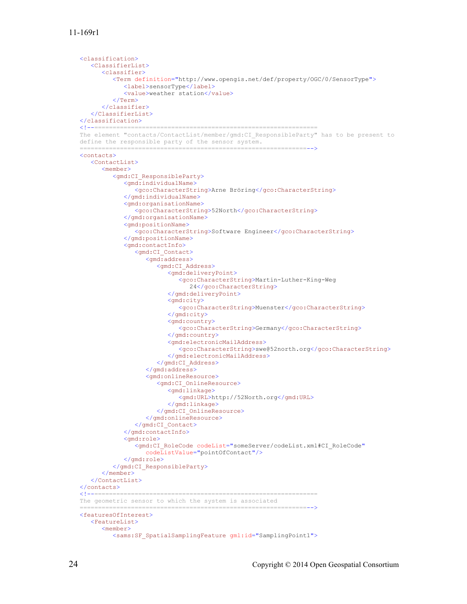```
 <classification>
       <ClassifierList>
          <classifier>
             <Term definition="http://www.opengis.net/def/property/OGC/0/SensorType">
                <label>sensorType</label>
                <value>weather station</value>
            \langle/Term>
          </classifier>
       </ClassifierList>
   </classification>
   <!--=============================================================
   The element "contacts/ContactList/member/gmd:CI_ResponsibleParty" has to be present to 
   define the responsible party of the sensor system.
 ==============================================================-->
   <contacts>
       <ContactList>
          <member>
             <gmd:CI_ResponsibleParty>
                <gmd:individualName>
                   <gco:CharacterString>Arne Bröring</gco:CharacterString>
                </gmd:individualName>
                <gmd:organisationName>
                   <gco:CharacterString>52North</gco:CharacterString>
                </gmd:organisationName>
                <gmd:positionName>
                   <gco:CharacterString>Software Engineer</gco:CharacterString>
                </gmd:positionName>
                <gmd:contactInfo>
                  <gmd:CI_Contact>
                       <gmd:address>
                          <gmd:CI_Address>
                             <gmd:deliveryPoint>
                                <gco:CharacterString>Martin-Luther-King-Weg 
                                   24</gco:CharacterString>
                             </gmd:deliveryPoint>
                            <gmd:city>
                                <gco:CharacterString>Muenster</gco:CharacterString>
                             </gmd:city>
                            <gmd:country>
                                <gco:CharacterString>Germany</gco:CharacterString>
                             </gmd:country>
                             <gmd:electronicMailAddress>
                                <gco:CharacterString>swe@52north.org</gco:CharacterString>
                             </gmd:electronicMailAddress>
                          </gmd:CI_Address>
                       </gmd:address>
                      <gmd:onlineResource>
                          <gmd:CI_OnlineResource>
                             <gmd:linkage>
                                <gmd:URL>http://52North.org</gmd:URL>
                             </gmd:linkage>
                          </gmd:CI_OnlineResource>
                       </gmd:onlineResource>
                   </gmd:CI_Contact>
                </gmd:contactInfo>
                <gmd:role>
                   <gmd:CI_RoleCode codeList="someServer/codeList.xml#CI_RoleCode"
                      codeListValue="pointOfContact"/>
               \langle/\langlemd:role>
             </gmd:CI_ResponsibleParty>
          </member>
       </ContactList>
   </contacts>
   <!--============================================================= 
   The geometric sensor to which the system is associated
 ==============================================================-->
   <featuresOfInterest>
       <FeatureList>
          <member>
```
<sams:SF\_SpatialSamplingFeature gml:id="SamplingPoint1">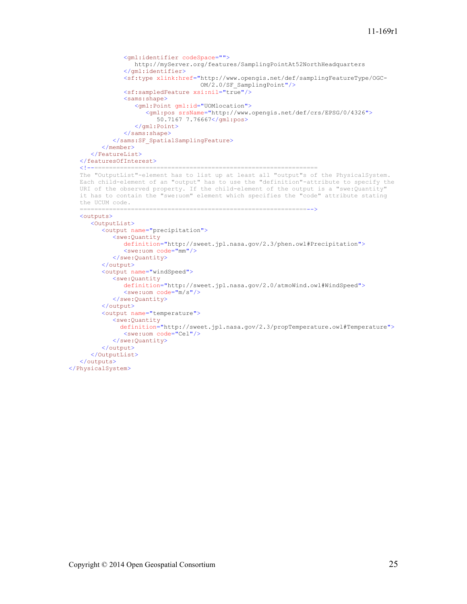```
 <gml:identifier codeSpace="">
                   http://myServer.org/features/SamplingPointAt52NorthHeadquarters
                </gml:identifier>
                <sf:type xlink:href="http://www.opengis.net/def/samplingFeatureType/OGC-
                                      OM/2.0/SF_SamplingPoint"/>
                <sf:sampledFeature xsi:nil="true"/>
                <sams:shape>
                   <gml:Point gml:id="UOMlocation">
                      <gml:pos srsName="http://www.opengis.net/def/crs/EPSG/0/4326">
                         50.7167 7.76667</gml:pos>
                   </gml:Point>
                </sams:shape>
             </sams:SF_SpatialSamplingFeature>
          </member>
       </FeatureList>
    </featuresOfInterest>
    <!--=============================================================
   The "OutputList"-element has to list up at least all "output"s of the PhysicalSystem.
    Each child-element of an "output" has to use the "definition"-attribute to specify the 
    URI of the observed property. If the child-element of the output is a "swe:Quantity" 
    it has to contain the "swe:uom" element which specifies the "code" attribute stating 
    the UCUM code.
 ==============================================================-->
    <outputs>
       <OutputList>
          <output name="precipitation">
             <swe:Quantity
                definition="http://sweet.jpl.nasa.gov/2.3/phen.owl#Precipitation">
                <swe:uom code="mm"/>
             </swe:Quantity>
          </output>
          <output name="windSpeed">
             <swe:Quantity
                definition="http://sweet.jpl.nasa.gov/2.0/atmoWind.owl#WindSpeed">
               \leqswe:uom code="m/s"/>
             </swe:Quantity>
          </output>
          <output name="temperature">
             <swe:Quantity
               definition="http://sweet.jpl.nasa.gov/2.3/propTemperature.owl#Temperature">
                <swe:uom code="Cel"/>
             </swe:Quantity>
          </output>
       </OutputList>
    </outputs>
</PhysicalSystem>
```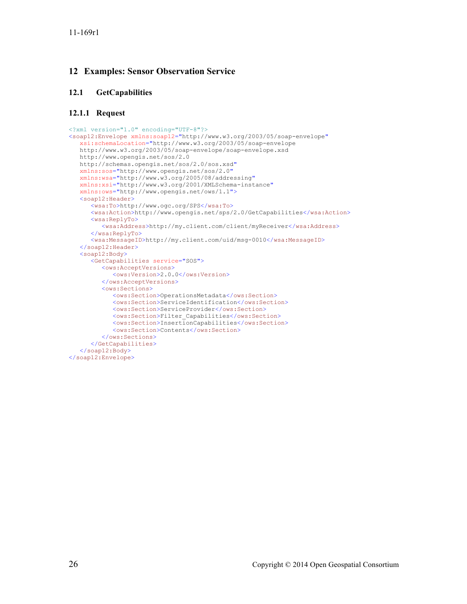## **12 Examples: Sensor Observation Service**

## **12.1 GetCapabilities**

## **12.1.1 Request**

```
<?xml version="1.0" encoding="UTF-8"?>
<soap12:Envelope xmlns:soap12="http://www.w3.org/2003/05/soap-envelope"
   xsi:schemaLocation="http://www.w3.org/2003/05/soap-envelope 
   http://www.w3.org/2003/05/soap-envelope/soap-envelope.xsd
   http://www.opengis.net/sos/2.0
   http://schemas.opengis.net/sos/2.0/sos.xsd"
   xmlns:sos="http://www.opengis.net/sos/2.0" 
   xmlns:wsa="http://www.w3.org/2005/08/addressing"
    xmlns:xsi="http://www.w3.org/2001/XMLSchema-instance"
   xmlns:ows="http://www.opengis.net/ows/1.1">
    <soap12:Header>
       <wsa:To>http://www.ogc.org/SPS</wsa:To>
       <wsa:Action>http://www.opengis.net/sps/2.0/GetCapabilities</wsa:Action>
       <wsa:ReplyTo>
         <wsa:Address>http://my.client.com/client/myReceiver</wsa:Address>
       </wsa:ReplyTo>
       <wsa:MessageID>http://my.client.com/uid/msg-0010</wsa:MessageID>
    </soap12:Header>
    <soap12:Body>
       <GetCapabilities service="SOS">
          <ows:AcceptVersions>
             <ows:Version>2.0.0</ows:Version>
          </ows:AcceptVersions>
          <ows:Sections>
             <ows:Section>OperationsMetadata</ows:Section>
             <ows:Section>ServiceIdentification</ows:Section>
             <ows:Section>ServiceProvider</ows:Section>
             <ows:Section>Filter_Capabilities</ows:Section>
             <ows:Section>InsertionCapabilities</ows:Section>
             <ows:Section>Contents</ows:Section>
          </ows:Sections>
       </GetCapabilities>
   </soap12:Body>
</soap12:Envelope>
```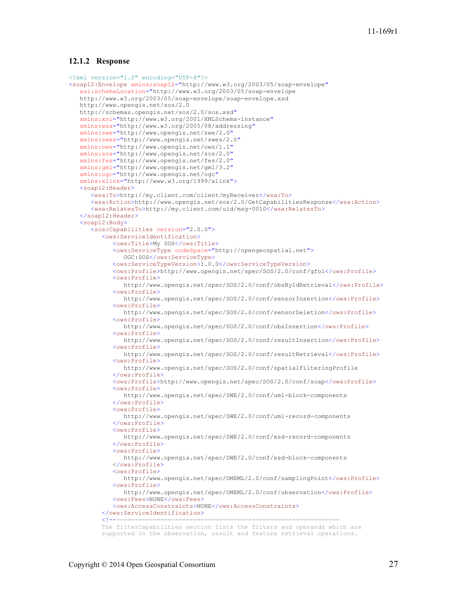#### **12.1.2 Response**

```
<?xml version="1.0" encoding="UTF-8"?>
<soap12:Envelope xmlns:soap12="http://www.w3.org/2003/05/soap-envelope"
    xsi:schemaLocation="http://www.w3.org/2003/05/soap-envelope 
    http://www.w3.org/2003/05/soap-envelope/soap-envelope.xsd
    http://www.opengis.net/sos/2.0 
   http://schemas.opengis.net/sos/2.0/sos.xsd"
    xmlns:xsi="http://www.w3.org/2001/XMLSchema-instance"
    xmlns:wsa="http://www.w3.org/2005/08/addressing"
    xmlns:swe="http://www.opengis.net/swe/2.0"
    xmlns:swes="http://www.opengis.net/swes/2.0"
    xmlns:ows="http://www.opengis.net/ows/1.1"
    xmlns:sos="http://www.opengis.net/sos/2.0"
    xmlns:fes="http://www.opengis.net/fes/2.0"
    xmlns:gml="http://www.opengis.net/gml/3.2"
   xmlns:ogc="http://www.opengis.net/ogc"
    xmlns:xlink="http://www.w3.org/1999/xlink">
    <soap12:Header>
       <wsa:To>http://my.client.com/client/myReceiver</wsa:To>
       <wsa:Action>http://www.opengis.net/sos/2.0/GetCapabilitiesResponse</wsa:Action>
       <wsa:RelatesTo>http://my.client.com/uid/msg-0010</wsa:RelatesTo>
    </soap12:Header>
    <soap12:Body>
       <sos:Capabilities version="2.0.0">
          <ows:ServiceIdentification>
             <ows:Title>My SOS</ows:Title>
             <ows:ServiceType codeSpace="http://opengeospatial.net">
                OGC:SOS</ows:ServiceType>
             <ows:ServiceTypeVersion>1.0.0</ows:ServiceTypeVersion>
             <ows:Profile>http://www.opengis.net/spec/SOS/2.0/conf/gfoi</ows:Profile>
             <ows:Profile>
                http://www.opengis.net/spec/SOS/2.0/conf/obsByIdRetrieval</ows:Profile>
             <ows:Profile>
                http://www.opengis.net/spec/SOS/2.0/conf/sensorInsertion</ows:Profile>
             <ows:Profile>
              http://www.opengis.net/spec/SOS/2.0/conf/sensorDeletion</ows:Profile>
             <ows:Profile>
                http://www.opengis.net/spec/SOS/2.0/conf/obsInsertion</ows:Profile>
             <ows:Profile>
                http://www.opengis.net/spec/SOS/2.0/conf/resultInsertion</ows:Profile>
             <ows:Profile>
                http://www.opengis.net/spec/SOS/2.0/conf/resultRetrieval</ows:Profile>
             <ows:Profile>
                http://www.opengis.net/spec/SOS/2.0/conf/spatialFilteringProfile
             </ows:Profile>
             <ows:Profile>http://www.opengis.net/spec/SOS/2.0/conf/soap</ows:Profile>
             <ows:Profile>
                http://www.opengis.net/spec/SWE/2.0/conf/uml-block-components
             </ows:Profile>
             <ows:Profile>
                http://www.opengis.net/spec/SWE/2.0/conf/uml-record-components
             </ows:Profile>
            <sub>ows</sub>:Profit1e<sub>2</sub></sub>
                http://www.opengis.net/spec/SWE/2.0/conf/xsd-record-components
             </ows:Profile>
             <ows:Profile>
               http://www.opengis.net/spec/SWE/2.0/conf/xsd-block-components
             </ows:Profile>
             <ows:Profile>
                http://www.opengis.net/spec/OMXML/2.0/conf/samplingPoint</ows:Profile>
             <ows:Profile>
                http://www.opengis.net/spec/OMXML/2.0/conf/observation</ows:Profile>
             <ows:Fees>NONE</ows:Fees>
             <ows:AccessConstraints>NONE</ows:AccessConstraints>
         </ows:ServiceIdentification>
 <!--============================================================= 
 The filterCapabilities section lists the filters and operands which are 
          supported in the observation, result and feature retrieval operations.
```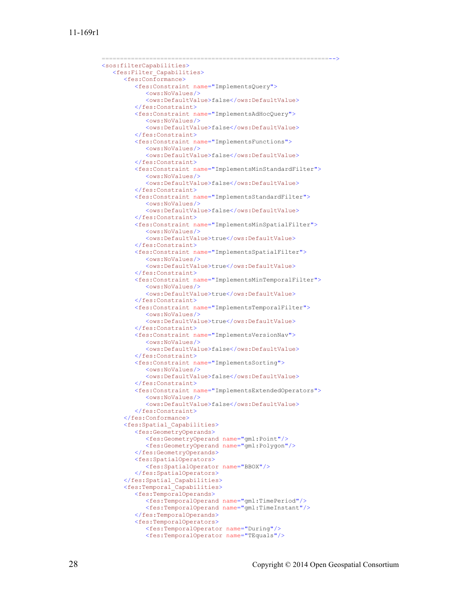```
 ==============================================================-->
 <sos:filterCapabilities>
   <fes:Filter_Capabilities>
       <fes:Conformance>
          <fes:Constraint name="ImplementsQuery">
             <ows:NoValues/>
             <ows:DefaultValue>false</ows:DefaultValue>
          </fes:Constraint>
         <fes:Constraint name="ImplementsAdHocQuery">
             <ows:NoValues/>
            <ows:DefaultValue>false</ows:DefaultValue>
          </fes:Constraint>
          <fes:Constraint name="ImplementsFunctions">
             <ows:NoValues/>
            <ows:DefaultValue>false</ows:DefaultValue>
          </fes:Constraint>
         <fes:Constraint name="ImplementsMinStandardFilter">
             <ows:NoValues/>
            <ows:DefaultValue>false</ows:DefaultValue>
          </fes:Constraint>
         <fes:Constraint name="ImplementsStandardFilter">
            <ows:NoValues/> <ows:DefaultValue>false</ows:DefaultValue>
          </fes:Constraint>
         <fes:Constraint name="ImplementsMinSpatialFilter">
             <ows:NoValues/>
             <ows:DefaultValue>true</ows:DefaultValue>
          </fes:Constraint>
         <fes:Constraint name="ImplementsSpatialFilter">
             <ows:NoValues/>
             <ows:DefaultValue>true</ows:DefaultValue>
          </fes:Constraint>
          <fes:Constraint name="ImplementsMinTemporalFilter">
             <ows:NoValues/>
             <ows:DefaultValue>true</ows:DefaultValue>
          </fes:Constraint>
         <fes:Constraint name="ImplementsTemporalFilter">
             <ows:NoValues/>
            <ows:DefaultValue>true</ows:DefaultValue>
          </fes:Constraint>
         <fes:Constraint name="ImplementsVersionNav">
             <ows:NoValues/>
             <ows:DefaultValue>false</ows:DefaultValue>
          </fes:Constraint>
         <fes:Constraint name="ImplementsSorting">
             <ows:NoValues/>
            <ows:DefaultValue>false</ows:DefaultValue>
          </fes:Constraint>
         <fes:Constraint name="ImplementsExtendedOperators">
            <ows:NoValues/><ows:DefaultValue>false</ows:DefaultValue>
          </fes:Constraint>
       </fes:Conformance>
       <fes:Spatial_Capabilities>
          <fes:GeometryOperands>
             <fes:GeometryOperand name="gml:Point"/>
             <fes:GeometryOperand name="gml:Polygon"/>
          </fes:GeometryOperands>
         <fes:SpatialOperators>
             <fes:SpatialOperator name="BBOX"/>
          </fes:SpatialOperators>
       </fes:Spatial_Capabilities>
       <fes:Temporal_Capabilities>
          <fes:TemporalOperands>
             <fes:TemporalOperand name="gml:TimePeriod"/>
             <fes:TemporalOperand name="gml:TimeInstant"/>
          </fes:TemporalOperands>
         <fes:TemporalOperators>
             <fes:TemporalOperator name="During"/>
             <fes:TemporalOperator name="TEquals"/>
```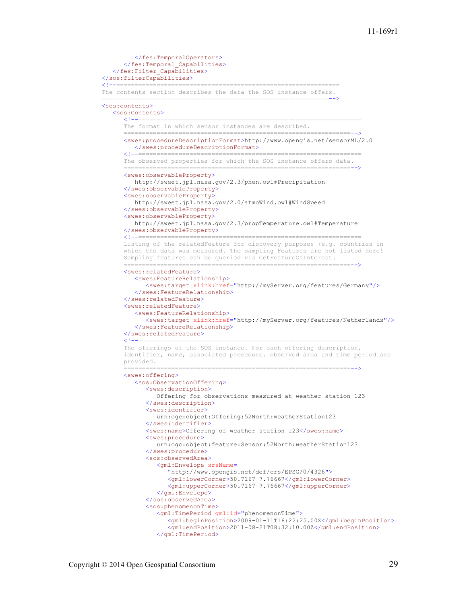```
 </fes:TemporalOperators>
                </fes:Temporal_Capabilities>
             </fes:Filter_Capabilities>
         </sos:filterCapabilities>
 <!--=============================================================
          The contents section describes the data the SOS instance offers.
 ==============================================================-->
          <sos:contents>
            <sos:Contents><br>
<l--------
 <!--=============================================================
The format in which sensor instances are described.
                                     ==============================================================-->
                <swes:procedureDescriptionFormat>http://www.opengis.net/sensorML/2.0
               </swes:procedureDescriptionFormat>
                                                        ===============================
                The observed properties for which the SOS instance offers data.
                              ==============================================================-->
                <swes:observableProperty>
                   http://sweet.jpl.nasa.gov/2.3/phen.owl#Precipitation
                </swes:observableProperty>
                <swes:observableProperty>
                   http://sweet.jpl.nasa.gov/2.0/atmoWind.owl#WindSpeed
                </swes:observableProperty>
                <swes:observableProperty>
                   http://sweet.jpl.nasa.gov/2.3/propTemperature.owl#Temperature
               </swes:observableProperty><br><!--======================
 <!--=============================================================
 Listing of the relatedFeature for discovery purposes (e.g. countries in 
                which the data was measured. The sampling Features are not listed here! 
                Sampling features can be queried via GetFeatureOfInterest.
 ==============================================================-->
                <swes:relatedFeature>
                   <swes:FeatureRelationship>
                      <swes:target xlink:href="http://myServer.org/features/Germany"/>
                   </swes:FeatureRelationship>
                </swes:relatedFeature>
                <swes:relatedFeature>
                   <swes:FeatureRelationship>
                      <swes:target xlink:href="http://myServer.org/features/Netherlands"/>
                   </swes:FeatureRelationship>
               </swes:relatedFeature><br><---------------------
 <!--=============================================================
 The offerings of the SOS instance. For each offering description, 
                identifier, name, associated procedure, observed area and time period are 
                provided.
                               ==============================================================-->
                <swes:offering>
                   <sos:ObservationOffering>
                      <swes:description>
                         Offering for observations measured at weather station 123
                      </swes:description>
                     <swes:identifier>
                         urn:ogc:object:Offering:52North:weatherStation123
                     </swes:identifier>
                      <swes:name>Offering of weather station 123</swes:name>
                      <swes:procedure>
                         urn:ogc:object:feature:Sensor:52North:weatherStation123
                     </swes:procedure>
                     <sos:observedArea>
                         <gml:Envelope srsName= 
                            "http://www.opengis.net/def/crs/EPSG/0/4326">
                           <gml:lowerCorner>50.7167 7.76667</gml:lowerCorner>
                            <gml:upperCorner>50.7167 7.76667</gml:upperCorner>
                         </gml:Envelope>
                      </sos:observedArea>
                     <sos:phenomenonTime>
                         <gml:TimePeriod gml:id="phenomenonTime">
                            <gml:beginPosition>2009-01-11T16:22:25.00Z</gml:beginPosition>
                            <gml:endPosition>2011-08-21T08:32:10.00Z</gml:endPosition>
                         </gml:TimePeriod>
```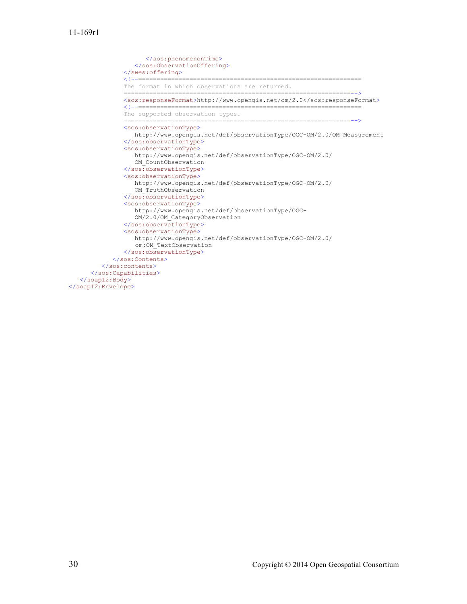```
 </sos:phenomenonTime>
                    </sos:ObservationOffering>
                </swes:offering>
                                     <!--=============================================================
                 The format in which observations are returned.
 ==============================================================-->
<sos:responseFormat>http://www.opengis.net/om/2.0<code></sos:responseFormat></code>
                 <!--=============================================================
                 The supported observation types.
                                                    ==============================================================-->
                 <sos:observationType>
                   http://www.opengis.net/def/observationType/OGC-OM/2.0/OM_Measurement
                 </sos:observationType>
                 <sos:observationType>
                    http://www.opengis.net/def/observationType/OGC-OM/2.0/
                    OM_CountObservation
                 </sos:observationType>
                 <sos:observationType>
                    http://www.opengis.net/def/observationType/OGC-OM/2.0/
                    OM_TruthObservation
                 </sos:observationType>
                 <sos:observationType>
                    http://www.opengis.net/def/observationType/OGC-
                   OM/2.0/OM_CategoryObservation
                 </sos:observationType>
                 <sos:observationType>
                    http://www.opengis.net/def/observationType/OGC-OM/2.0/
                    om:OM_TextObservation
                 </sos:observationType>
              </sos:Contents>
          </sos:contents>
       </sos:Capabilities>
    </soap12:Body>
</soap12:Envelope>
```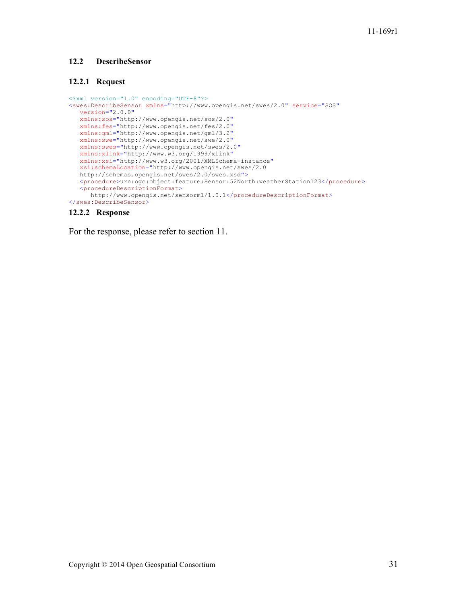## **12.2 DescribeSensor**

## **12.2.1 Request**

```
<?xml version="1.0" encoding="UTF-8"?>
<swes:DescribeSensor xmlns="http://www.opengis.net/swes/2.0" service="SOS"
   version="2.0.0"
   xmlns:sos="http://www.opengis.net/sos/2.0"
   xmlns:fes="http://www.opengis.net/fes/2.0"
   xmlns:gml="http://www.opengis.net/gml/3.2"
   xmlns:swe="http://www.opengis.net/swe/2.0"
   xmlns:swes="http://www.opengis.net/swes/2.0"
   xmlns:xlink="http://www.w3.org/1999/xlink"
    xmlns:xsi="http://www.w3.org/2001/XMLSchema-instance"
   xsi:schemaLocation="http://www.opengis.net/swes/2.0
   http://schemas.opengis.net/swes/2.0/swes.xsd">
  \langleprocedure>urn:ogc:object:feature:Sensor:52North:weatherStation123</procedure>
    <procedureDescriptionFormat>
      http://www.opengis.net/sensorml/1.0.1</procedureDescriptionFormat>
</swes:DescribeSensor>
```
#### **12.2.2 Response**

For the response, please refer to section 11.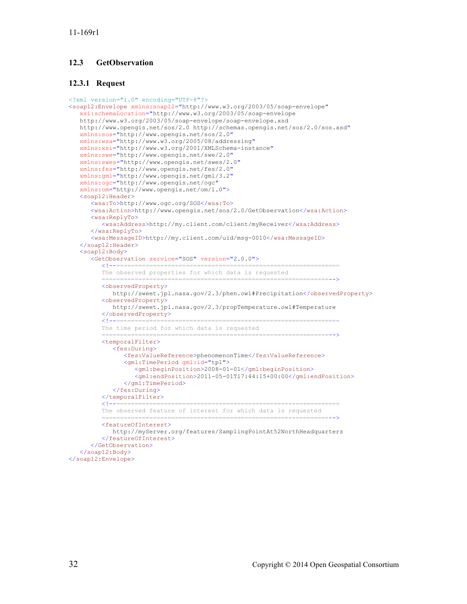## **12.3 GetObservation**

#### **12.3.1 Request**

```
<?xml version="1.0" encoding="UTF-8"?>
<soap12:Envelope xmlns:soap12="http://www.w3.org/2003/05/soap-envelope"
    xsi:schemaLocation="http://www.w3.org/2003/05/soap-envelope 
    http://www.w3.org/2003/05/soap-envelope/soap-envelope.xsd
   http://www.opengis.net/sos/2.0 http://schemas.opengis.net/sos/2.0/sos.xsd"
    xmlns:sos="http://www.opengis.net/sos/2.0"
    xmlns:wsa="http://www.w3.org/2005/08/addressing"
    xmlns:xsi="http://www.w3.org/2001/XMLSchema-instance"
    xmlns:swe="http://www.opengis.net/swe/2.0"
    xmlns:swes="http://www.opengis.net/swes/2.0"
    xmlns:fes="http://www.opengis.net/fes/2.0"
    xmlns:gml="http://www.opengis.net/gml/3.2"
    xmlns:ogc="http://www.opengis.net/ogc"
    xmlns:om="http://www.opengis.net/om/1.0">
    <soap12:Header>
       <wsa:To>http://www.ogc.org/SOS</wsa:To>
       <wsa:Action>http://www.opengis.net/sos/2.0/GetObservation</wsa:Action>
       <wsa:ReplyTo>
          <wsa:Address>http://my.client.com/client/myReceiver</wsa:Address>
       </wsa:ReplyTo>
       <wsa:MessageID>http://my.client.com/uid/msg-0010</wsa:MessageID>
    </soap12:Header>
    <soap12:Body>
       <GetObservation service="SOS" version="2.0.0">
 <!--============================================================= 
          The observed properties for which data is requested
                            ==============================================================-->
          <observedProperty>
             http://sweet.jpl.nasa.gov/2.3/phen.owl#Precipitation</observedProperty>
          <observedProperty>
             http://sweet.jpl.nasa.gov/2.3/propTemperature.owl#Temperature
         </observedProperty>
 <!--============================================================= 
          The time period for which data is requested
                              ==============================================================-->
          <temporalFilter>
             <fes:During>
                <fes:ValueReference>phenomenonTime</fes:ValueReference>
                <gml:TimePeriod gml:id="tp1">
                    <gml:beginPosition>2008-01-01</gml:beginPosition>
                    <gml:endPosition>2011-05-01T17:44:15+00:00</gml:endPosition>
                </gml:TimePeriod>
             </fes:During>
         </temporalFilter>
                            <!--============================================================= 
          The observed feature of interest for which data is requested
                                    ==============================================================-->
          <featureOfInterest>
             http://myServer.org/features/SamplingPointAt52NorthHeadquarters
          </featureOfInterest>
       </GetObservation>
    </soap12:Body>
</soap12:Envelope>
```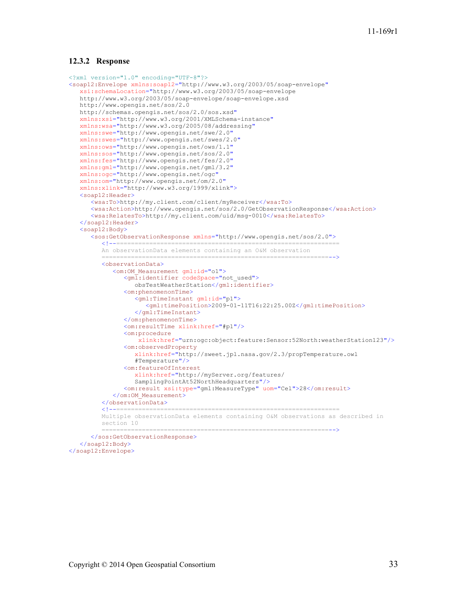#### **12.3.2 Response**

```
<?xml version="1.0" encoding="UTF-8"?>
<soap12:Envelope xmlns:soap12="http://www.w3.org/2003/05/soap-envelope"
    xsi:schemaLocation="http://www.w3.org/2003/05/soap-envelope 
    http://www.w3.org/2003/05/soap-envelope/soap-envelope.xsd
    http://www.opengis.net/sos/2.0
    http://schemas.opengis.net/sos/2.0/sos.xsd"
    xmlns:xsi="http://www.w3.org/2001/XMLSchema-instance"
    xmlns:wsa="http://www.w3.org/2005/08/addressing"
    xmlns:swe="http://www.opengis.net/swe/2.0"
    xmlns:swes="http://www.opengis.net/swes/2.0"
    xmlns:ows="http://www.opengis.net/ows/1.1"
    xmlns:sos="http://www.opengis.net/sos/2.0"
    xmlns:fes="http://www.opengis.net/fes/2.0"
    xmlns:gml="http://www.opengis.net/gml/3.2"
    xmlns:ogc="http://www.opengis.net/ogc"
    xmlns:om="http://www.opengis.net/om/2.0"
    xmlns:xlink="http://www.w3.org/1999/xlink">
    <soap12:Header>
       <wsa:To>http://my.client.com/client/myReceiver</wsa:To>
       <wsa:Action>http://www.opengis.net/sos/2.0/GetObservationResponse</wsa:Action>
       <wsa:RelatesTo>http://my.client.com/uid/msg-0010</wsa:RelatesTo>
    </soap12:Header>
    <soap12:Body>
       <sos:GetObservationResponse xmlns="http://www.opengis.net/sos/2.0">
 <!--============================================================= 
          An observationData elements containing an O&M observation
                       ==============================================================-->
          <observationData>
            <om: OM Measurement gml:id="o1">
               <gml:identifier codeSpace="not used">
                   obsTestWeatherStation</gml:identifier>
                <om:phenomenonTime>
                    <gml:TimeInstant gml:id="p1">
                      <gml:timePosition>2009-01-11T16:22:25.00Z</gml:timePosition>
                    </gml:TimeInstant>
                </om:phenomenonTime>
                <om:resultTime xlink:href="#p1"/>
                <om:procedure
                    xlink:href="urn:ogc:object:feature:Sensor:52North:weatherStation123"/>
                <om:observedProperty
                    xlink:href="http://sweet.jpl.nasa.gov/2.3/propTemperature.owl
                   #Temperature"/>
                <om:featureOfInterest
                    xlink:href="http://myServer.org/features/
                   SamplingPointAt52NorthHeadquarters"/>
                <om:result xsi:type="gml:MeasureType" uom="Cel">28</om:result>
             </om:OM_Measurement>
         </observationData>
                                 <!--============================================================= 
          Multiple observationData elements containing O&M observations as described in 
          section 10
                           ==============================================================-->
       </sos:GetObservationResponse>
    </soap12:Body>
</soap12:Envelope>
```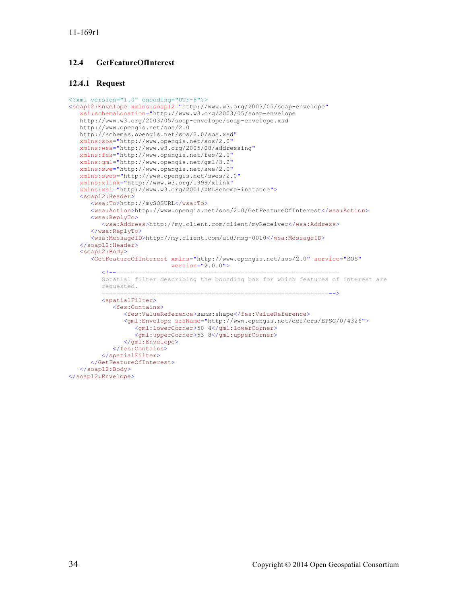## **12.4 GetFeatureOfInterest**

#### **12.4.1 Request**

```
<?xml version="1.0" encoding="UTF-8"?>
<soap12:Envelope xmlns:soap12="http://www.w3.org/2003/05/soap-envelope"
    xsi:schemaLocation="http://www.w3.org/2003/05/soap-envelope 
    http://www.w3.org/2003/05/soap-envelope/soap-envelope.xsd
   http://www.opengis.net/sos/2.0 
    http://schemas.opengis.net/sos/2.0/sos.xsd"
    xmlns:sos="http://www.opengis.net/sos/2.0"
    xmlns:wsa="http://www.w3.org/2005/08/addressing"
    xmlns:fes="http://www.opengis.net/fes/2.0"
    xmlns:gml="http://www.opengis.net/gml/3.2"
    xmlns:swe="http://www.opengis.net/swe/2.0"
    xmlns:swes="http://www.opengis.net/swes/2.0"
    xmlns:xlink="http://www.w3.org/1999/xlink"
    xmlns:xsi="http://www.w3.org/2001/XMLSchema-instance">
    <soap12:Header>
       <wsa:To>http://mySOSURL</wsa:To>
       <wsa:Action>http://www.opengis.net/sos/2.0/GetFeatureOfInterest</wsa:Action>
       <wsa:ReplyTo>
          <wsa:Address>http://my.client.com/client/myReceiver</wsa:Address>
       </wsa:ReplyTo>
       <wsa:MessageID>http://my.client.com/uid/msg-0010</wsa:MessageID>
    </soap12:Header>
    <soap12:Body>
       <GetFeatureOfInterest xmlns="http://www.opengis.net/sos/2.0" service="SOS"
                     version="2.0.0">
          <!--============================================================= 
          Sptatial filter describing the bounding box for which features of interest are 
          requested.
                          ==============================================================-->
          <spatialFilter>
             <fes:Contains>
                <fes:ValueReference>sams:shape</fes:ValueReference>
                <gml:Envelope srsName="http://www.opengis.net/def/crs/EPSG/0/4326">
                    <gml:lowerCorner>50 4</gml:lowerCorner>
                    <gml:upperCorner>53 8</gml:upperCorner>
                </gml:Envelope>
             </fes:Contains>
          </spatialFilter>
       </GetFeatureOfInterest>
    </soap12:Body>
</soap12:Envelope>
```